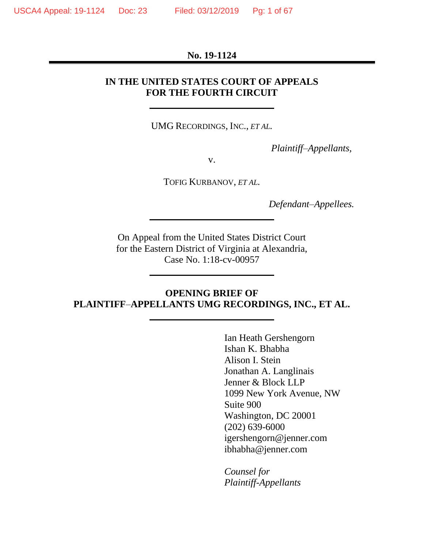#### **No. 19-1124**

## **IN THE UNITED STATES COURT OF APPEALS FOR THE FOURTH CIRCUIT**

UMG RECORDINGS, INC., *ET AL.*

*Plaintiff–Appellants,*

v.

TOFIG KURBANOV, *ET AL.*

*Defendant–Appellees.*

On Appeal from the United States District Court for the Eastern District of Virginia at Alexandria, Case No. 1:18-cv-00957

## **OPENING BRIEF OF PLAINTIFF***–***APPELLANTS UMG RECORDINGS, INC., ET AL.**

Ian Heath Gershengorn Ishan K. Bhabha Alison I. Stein Jonathan A. Langlinais Jenner & Block LLP 1099 New York Avenue, NW Suite 900 Washington, DC 20001 (202) 639-6000 igershengorn@jenner.com ibhabha@jenner.com

*Counsel for Plaintiff-Appellants*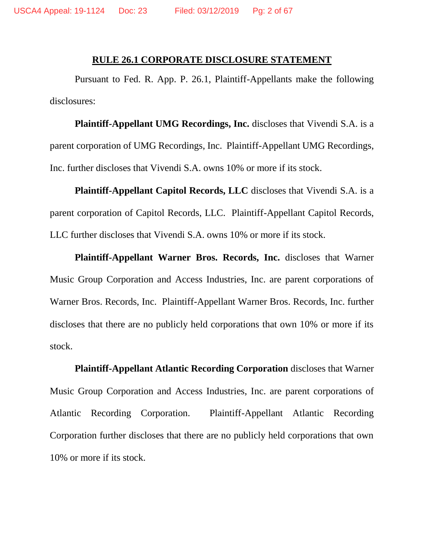#### **RULE 26.1 CORPORATE DISCLOSURE STATEMENT**

<span id="page-1-0"></span>Pursuant to Fed. R. App. P. 26.1, Plaintiff-Appellants make the following disclosures:

**Plaintiff-Appellant UMG Recordings, Inc.** discloses that Vivendi S.A. is a parent corporation of UMG Recordings, Inc. Plaintiff-Appellant UMG Recordings, Inc. further discloses that Vivendi S.A. owns 10% or more if its stock.

**Plaintiff-Appellant Capitol Records, LLC** discloses that Vivendi S.A. is a parent corporation of Capitol Records, LLC. Plaintiff-Appellant Capitol Records, LLC further discloses that Vivendi S.A. owns 10% or more if its stock.

**Plaintiff-Appellant Warner Bros. Records, Inc.** discloses that Warner Music Group Corporation and Access Industries, Inc. are parent corporations of Warner Bros. Records, Inc. Plaintiff-Appellant Warner Bros. Records, Inc. further discloses that there are no publicly held corporations that own 10% or more if its stock.

**Plaintiff-Appellant Atlantic Recording Corporation** discloses that Warner Music Group Corporation and Access Industries, Inc. are parent corporations of Atlantic Recording Corporation. Plaintiff-Appellant Atlantic Recording Corporation further discloses that there are no publicly held corporations that own 10% or more if its stock.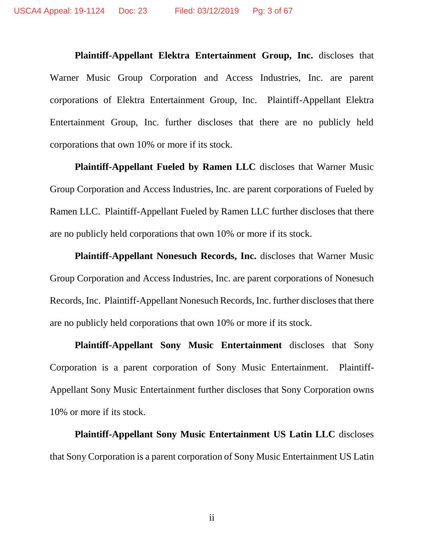**Plaintiff-Appellant Elektra Entertainment Group, Inc.** discloses that Warner Music Group Corporation and Access Industries, Inc. are parent corporations of Elektra Entertainment Group, Inc. Plaintiff-Appellant Elektra Entertainment Group, Inc. further discloses that there are no publicly held corporations that own 10% or more if its stock.

**Plaintiff-Appellant Fueled by Ramen LLC** discloses that Warner Music Group Corporation and Access Industries, Inc. are parent corporations of Fueled by Ramen LLC. Plaintiff-Appellant Fueled by Ramen LLC further discloses that there are no publicly held corporations that own 10% or more if its stock.

**Plaintiff-Appellant Nonesuch Records, Inc.** discloses that Warner Music Group Corporation and Access Industries, Inc. are parent corporations of Nonesuch Records, Inc. Plaintiff-Appellant Nonesuch Records, Inc. further discloses that there are no publicly held corporations that own 10% or more if its stock.

**Plaintiff-Appellant Sony Music Entertainment** discloses that Sony Corporation is a parent corporation of Sony Music Entertainment. Plaintiff-Appellant Sony Music Entertainment further discloses that Sony Corporation owns 10% or more if its stock.

**Plaintiff-Appellant Sony Music Entertainment US Latin LLC** discloses that Sony Corporation is a parent corporation of Sony Music Entertainment US Latin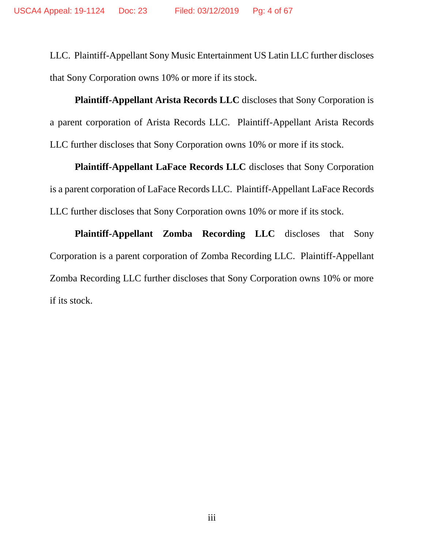LLC. Plaintiff-Appellant Sony Music Entertainment US Latin LLC further discloses that Sony Corporation owns 10% or more if its stock.

**Plaintiff-Appellant Arista Records LLC** discloses that Sony Corporation is a parent corporation of Arista Records LLC. Plaintiff-Appellant Arista Records LLC further discloses that Sony Corporation owns 10% or more if its stock.

**Plaintiff-Appellant LaFace Records LLC** discloses that Sony Corporation is a parent corporation of LaFace Records LLC. Plaintiff-Appellant LaFace Records LLC further discloses that Sony Corporation owns 10% or more if its stock.

**Plaintiff-Appellant Zomba Recording LLC** discloses that Sony Corporation is a parent corporation of Zomba Recording LLC. Plaintiff-Appellant Zomba Recording LLC further discloses that Sony Corporation owns 10% or more if its stock.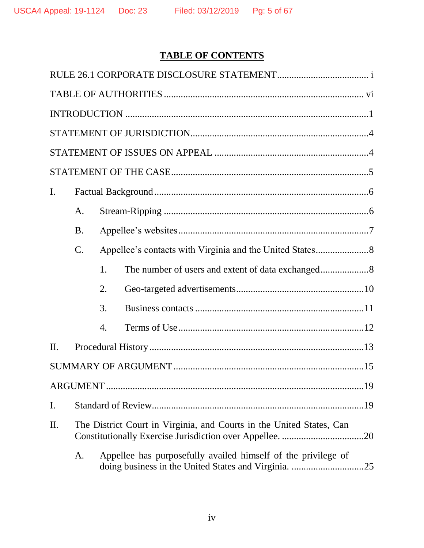# **TABLE OF CONTENTS**

| $\mathbf{I}$ . |                |                                                                      |                                                                      |  |  |  |
|----------------|----------------|----------------------------------------------------------------------|----------------------------------------------------------------------|--|--|--|
|                | A.             |                                                                      |                                                                      |  |  |  |
|                | <b>B.</b>      |                                                                      |                                                                      |  |  |  |
|                | $\mathbf{C}$ . |                                                                      |                                                                      |  |  |  |
|                |                | 1.                                                                   |                                                                      |  |  |  |
|                |                | 2.                                                                   |                                                                      |  |  |  |
|                |                | 3.                                                                   |                                                                      |  |  |  |
|                |                | $\overline{4}$ .                                                     |                                                                      |  |  |  |
| II.            |                |                                                                      |                                                                      |  |  |  |
|                |                |                                                                      |                                                                      |  |  |  |
|                |                |                                                                      |                                                                      |  |  |  |
| I.             |                |                                                                      |                                                                      |  |  |  |
| II.            |                | The District Court in Virginia, and Courts in the United States, Can |                                                                      |  |  |  |
|                | A.             |                                                                      | Appellee has purposefully availed himself of the privilege of<br>.25 |  |  |  |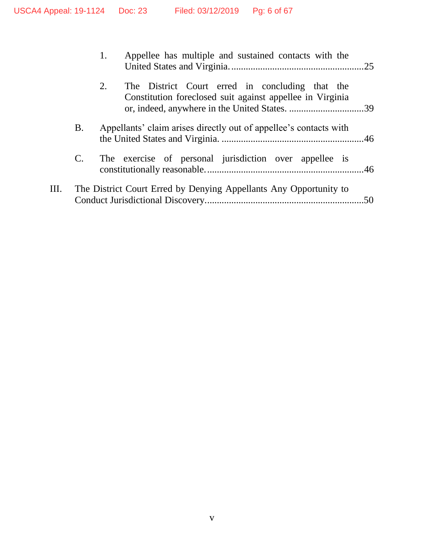|    |             | Appellee has multiple and sustained contacts with the                                                              |  |
|----|-------------|--------------------------------------------------------------------------------------------------------------------|--|
|    |             | The District Court erred in concluding that the<br>2.<br>Constitution foreclosed suit against appellee in Virginia |  |
|    | <b>B.</b>   | Appellants' claim arises directly out of appellee's contacts with                                                  |  |
|    | $C_{\cdot}$ | The exercise of personal jurisdiction over appellee is                                                             |  |
| Ш. |             | The District Court Erred by Denying Appellants Any Opportunity to                                                  |  |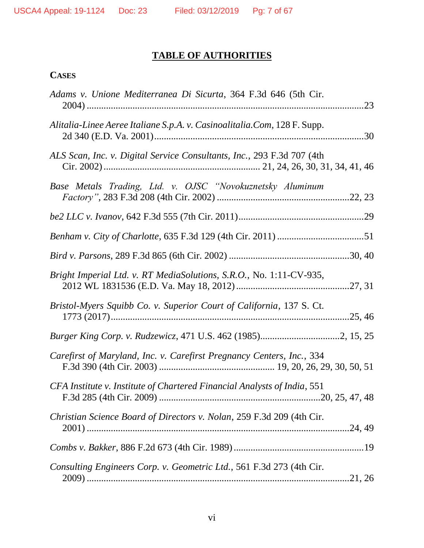# **TABLE OF AUTHORITIES**

# <span id="page-6-0"></span>**CASES**

| Adams v. Unione Mediterranea Di Sicurta, 364 F.3d 646 (5th Cir.          |  |
|--------------------------------------------------------------------------|--|
| Alitalia-Linee Aeree Italiane S.p.A. v. Casinoalitalia.Com, 128 F. Supp. |  |
| ALS Scan, Inc. v. Digital Service Consultants, Inc., 293 F.3d 707 (4th   |  |
| Base Metals Trading, Ltd. v. OJSC "Novokuznetsky Aluminum                |  |
|                                                                          |  |
|                                                                          |  |
|                                                                          |  |
| Bright Imperial Ltd. v. RT MediaSolutions, S.R.O., No. 1:11-CV-935,      |  |
| Bristol-Myers Squibb Co. v. Superior Court of California, 137 S. Ct.     |  |
|                                                                          |  |
| Carefirst of Maryland, Inc. v. Carefirst Pregnancy Centers, Inc., 334    |  |
| CFA Institute v. Institute of Chartered Financial Analysts of India, 551 |  |
| Christian Science Board of Directors v. Nolan, 259 F.3d 209 (4th Cir.    |  |
|                                                                          |  |
| Consulting Engineers Corp. v. Geometric Ltd., 561 F.3d 273 (4th Cir.     |  |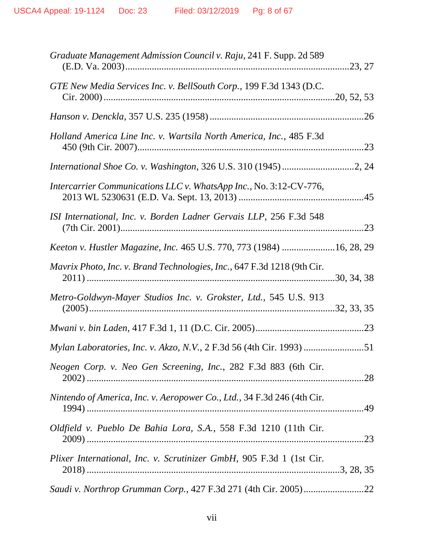| Graduate Management Admission Council v. Raju, 241 F. Supp. 2d 589      |  |
|-------------------------------------------------------------------------|--|
| GTE New Media Services Inc. v. BellSouth Corp., 199 F.3d 1343 (D.C.     |  |
|                                                                         |  |
| Holland America Line Inc. v. Wartsila North America, Inc., 485 F.3d     |  |
|                                                                         |  |
| Intercarrier Communications LLC v. WhatsApp Inc., No. 3:12-CV-776,      |  |
| ISI International, Inc. v. Borden Ladner Gervais LLP, 256 F.3d 548      |  |
| Keeton v. Hustler Magazine, Inc. 465 U.S. 770, 773 (1984) 16, 28, 29    |  |
| Mavrix Photo, Inc. v. Brand Technologies, Inc., 647 F.3d 1218 (9th Cir. |  |
| Metro-Goldwyn-Mayer Studios Inc. v. Grokster, Ltd., 545 U.S. 913        |  |
|                                                                         |  |
| Mylan Laboratories, Inc. v. Akzo, N.V., 2 F.3d 56 (4th Cir. 1993)       |  |
| Neogen Corp. v. Neo Gen Screening, Inc., 282 F.3d 883 (6th Cir.         |  |
| Nintendo of America, Inc. v. Aeropower Co., Ltd., 34 F.3d 246 (4th Cir. |  |
| Oldfield v. Pueblo De Bahia Lora, S.A., 558 F.3d 1210 (11th Cir.        |  |
| Plixer International, Inc. v. Scrutinizer GmbH, 905 F.3d 1 (1st Cir.    |  |
| Saudi v. Northrop Grumman Corp., 427 F.3d 271 (4th Cir. 2005)22         |  |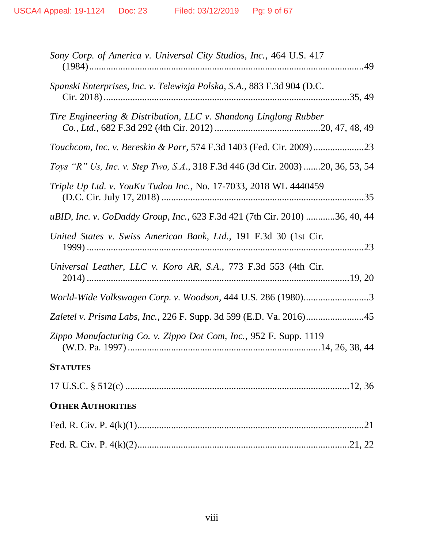| Sony Corp. of America v. Universal City Studios, Inc., 464 U.S. 417             |
|---------------------------------------------------------------------------------|
| Spanski Enterprises, Inc. v. Telewizja Polska, S.A., 883 F.3d 904 (D.C.         |
| Tire Engineering & Distribution, LLC v. Shandong Linglong Rubber                |
| Touchcom, Inc. v. Bereskin & Parr, 574 F.3d 1403 (Fed. Cir. 2009)23             |
| Toys "R" Us, Inc. v. Step Two, S.A., 318 F.3d 446 (3d Cir. 2003) 20, 36, 53, 54 |
| Triple Up Ltd. v. YouKu Tudou Inc., No. 17-7033, 2018 WL 4440459                |
| uBID, Inc. v. GoDaddy Group, Inc., 623 F.3d 421 (7th Cir. 2010) 36, 40, 44      |
| United States v. Swiss American Bank, Ltd., 191 F.3d 30 (1st Cir.               |
| Universal Leather, LLC v. Koro AR, S.A., 773 F.3d 553 (4th Cir.                 |
| World-Wide Volkswagen Corp. v. Woodson, 444 U.S. 286 (1980)3                    |
| Zaletel v. Prisma Labs, Inc., 226 F. Supp. 3d 599 (E.D. Va. 2016)45             |
| Zippo Manufacturing Co. v. Zippo Dot Com, Inc., 952 F. Supp. 1119               |
| <b>STATUTES</b>                                                                 |
|                                                                                 |
| <b>OTHER AUTHORITIES</b>                                                        |
|                                                                                 |
|                                                                                 |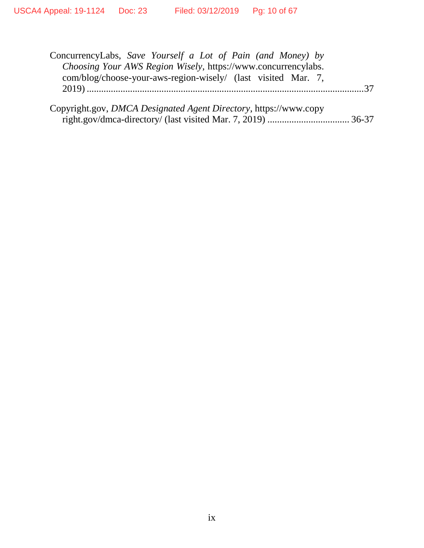| ConcurrencyLabs, Save Yourself a Lot of Pain (and Money) by<br>Choosing Your AWS Region Wisely, https://www.concurrencylabs. |  |
|------------------------------------------------------------------------------------------------------------------------------|--|
| com/blog/choose-your-aws-region-wisely/ (last visited Mar. 7,                                                                |  |
| Copyright.gov, DMCA Designated Agent Directory, https://www.copy                                                             |  |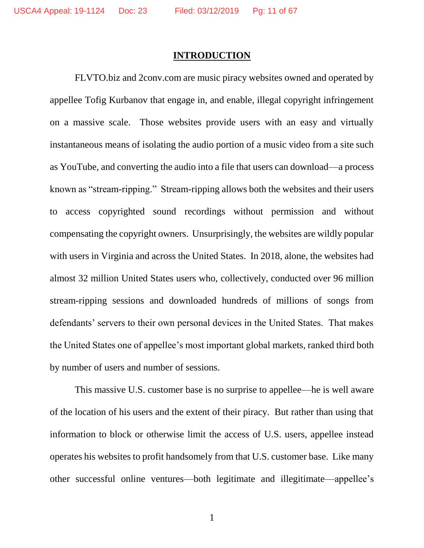#### **INTRODUCTION**

<span id="page-10-0"></span>FLVTO.biz and 2conv.com are music piracy websites owned and operated by appellee Tofig Kurbanov that engage in, and enable, illegal copyright infringement on a massive scale. Those websites provide users with an easy and virtually instantaneous means of isolating the audio portion of a music video from a site such as YouTube, and converting the audio into a file that users can download—a process known as "stream-ripping." Stream-ripping allows both the websites and their users to access copyrighted sound recordings without permission and without compensating the copyright owners. Unsurprisingly, the websites are wildly popular with users in Virginia and across the United States. In 2018, alone, the websites had almost 32 million United States users who, collectively, conducted over 96 million stream-ripping sessions and downloaded hundreds of millions of songs from defendants' servers to their own personal devices in the United States. That makes the United States one of appellee's most important global markets, ranked third both by number of users and number of sessions.

This massive U.S. customer base is no surprise to appellee—he is well aware of the location of his users and the extent of their piracy. But rather than using that information to block or otherwise limit the access of U.S. users, appellee instead operates his websites to profit handsomely from that U.S. customer base. Like many other successful online ventures—both legitimate and illegitimate—appellee's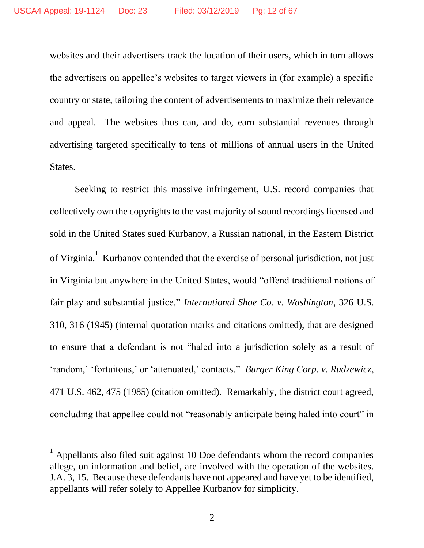websites and their advertisers track the location of their users, which in turn allows the advertisers on appellee's websites to target viewers in (for example) a specific country or state, tailoring the content of advertisements to maximize their relevance and appeal. The websites thus can, and do, earn substantial revenues through advertising targeted specifically to tens of millions of annual users in the United States.

Seeking to restrict this massive infringement, U.S. record companies that collectively own the copyrights to the vast majority of sound recordings licensed and sold in the United States sued Kurbanov, a Russian national, in the Eastern District of Virginia.<sup>1</sup> Kurbanov contended that the exercise of personal jurisdiction, not just in Virginia but anywhere in the United States, would "offend traditional notions of fair play and substantial justice," *International Shoe Co. v. Washington*, 326 U.S. 310, 316 (1945) (internal quotation marks and citations omitted), that are designed to ensure that a defendant is not "haled into a jurisdiction solely as a result of 'random,' 'fortuitous,' or 'attenuated,' contacts." *Burger King Corp. v. Rudzewicz*, 471 U.S. 462, 475 (1985) (citation omitted). Remarkably, the district court agreed, concluding that appellee could not "reasonably anticipate being haled into court" in

 $\overline{a}$ 

<sup>1</sup> Appellants also filed suit against 10 Doe defendants whom the record companies allege, on information and belief, are involved with the operation of the websites. J.A. 3, 15. Because these defendants have not appeared and have yet to be identified, appellants will refer solely to Appellee Kurbanov for simplicity.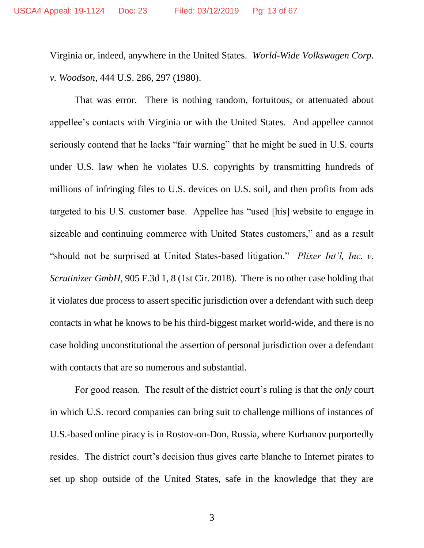Virginia or, indeed, anywhere in the United States. *World-Wide Volkswagen Corp. v. Woodson*, 444 U.S. 286, 297 (1980).

That was error. There is nothing random, fortuitous, or attenuated about appellee's contacts with Virginia or with the United States. And appellee cannot seriously contend that he lacks "fair warning" that he might be sued in U.S. courts under U.S. law when he violates U.S. copyrights by transmitting hundreds of millions of infringing files to U.S. devices on U.S. soil, and then profits from ads targeted to his U.S. customer base. Appellee has "used [his] website to engage in sizeable and continuing commerce with United States customers," and as a result "should not be surprised at United States-based litigation." *Plixer Int'l, Inc. v. Scrutinizer GmbH*, 905 F.3d 1, 8 (1st Cir. 2018). There is no other case holding that it violates due process to assert specific jurisdiction over a defendant with such deep contacts in what he knows to be his third-biggest market world-wide, and there is no case holding unconstitutional the assertion of personal jurisdiction over a defendant with contacts that are so numerous and substantial.

For good reason. The result of the district court's ruling is that the *only* court in which U.S. record companies can bring suit to challenge millions of instances of U.S.-based online piracy is in Rostov-on-Don, Russia, where Kurbanov purportedly resides. The district court's decision thus gives carte blanche to Internet pirates to set up shop outside of the United States, safe in the knowledge that they are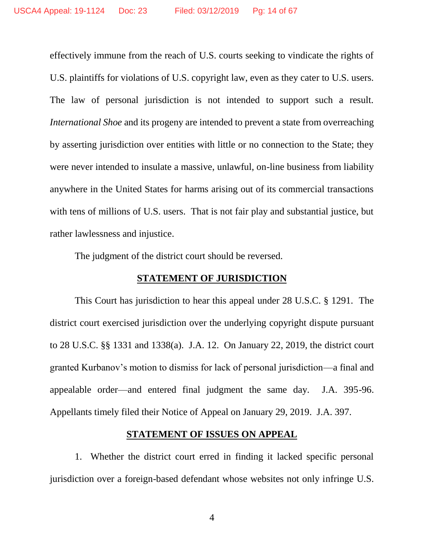effectively immune from the reach of U.S. courts seeking to vindicate the rights of U.S. plaintiffs for violations of U.S. copyright law, even as they cater to U.S. users. The law of personal jurisdiction is not intended to support such a result. *International Shoe* and its progeny are intended to prevent a state from overreaching by asserting jurisdiction over entities with little or no connection to the State; they were never intended to insulate a massive, unlawful, on-line business from liability anywhere in the United States for harms arising out of its commercial transactions with tens of millions of U.S. users. That is not fair play and substantial justice, but rather lawlessness and injustice.

The judgment of the district court should be reversed.

## **STATEMENT OF JURISDICTION**

<span id="page-13-0"></span>This Court has jurisdiction to hear this appeal under 28 U.S.C. § 1291. The district court exercised jurisdiction over the underlying copyright dispute pursuant to 28 U.S.C. §§ 1331 and 1338(a). J.A. 12. On January 22, 2019, the district court granted Kurbanov's motion to dismiss for lack of personal jurisdiction—a final and appealable order—and entered final judgment the same day. J.A. 395-96. Appellants timely filed their Notice of Appeal on January 29, 2019. J.A. 397.

### **STATEMENT OF ISSUES ON APPEAL**

<span id="page-13-1"></span>1. Whether the district court erred in finding it lacked specific personal jurisdiction over a foreign-based defendant whose websites not only infringe U.S.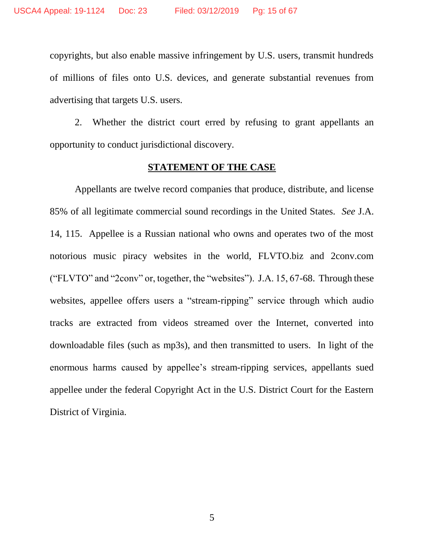copyrights, but also enable massive infringement by U.S. users, transmit hundreds of millions of files onto U.S. devices, and generate substantial revenues from advertising that targets U.S. users.

2. Whether the district court erred by refusing to grant appellants an opportunity to conduct jurisdictional discovery.

#### **STATEMENT OF THE CASE**

<span id="page-14-0"></span>Appellants are twelve record companies that produce, distribute, and license 85% of all legitimate commercial sound recordings in the United States. *See* J.A. 14, 115. Appellee is a Russian national who owns and operates two of the most notorious music piracy websites in the world, FLVTO.biz and 2conv.com ("FLVTO" and "2conv" or, together, the "websites"). J.A. 15, 67-68. Through these websites, appellee offers users a "stream-ripping" service through which audio tracks are extracted from videos streamed over the Internet, converted into downloadable files (such as mp3s), and then transmitted to users. In light of the enormous harms caused by appellee's stream-ripping services, appellants sued appellee under the federal Copyright Act in the U.S. District Court for the Eastern District of Virginia.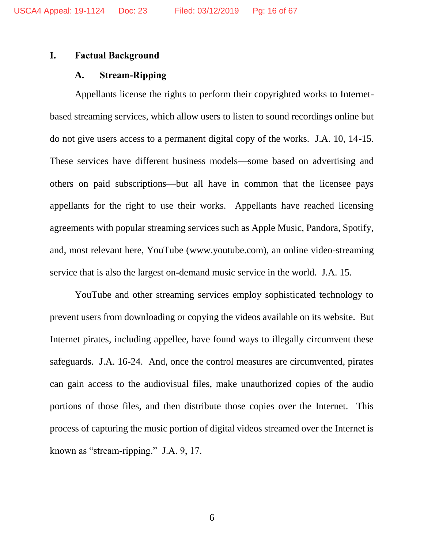### <span id="page-15-1"></span><span id="page-15-0"></span>**I. Factual Background**

#### **A. Stream-Ripping**

Appellants license the rights to perform their copyrighted works to Internetbased streaming services, which allow users to listen to sound recordings online but do not give users access to a permanent digital copy of the works. J.A. 10, 14-15. These services have different business models—some based on advertising and others on paid subscriptions—but all have in common that the licensee pays appellants for the right to use their works. Appellants have reached licensing agreements with popular streaming services such as Apple Music, Pandora, Spotify, and, most relevant here, YouTube (www.youtube.com), an online video-streaming service that is also the largest on-demand music service in the world. J.A. 15.

YouTube and other streaming services employ sophisticated technology to prevent users from downloading or copying the videos available on its website. But Internet pirates, including appellee, have found ways to illegally circumvent these safeguards. J.A. 16-24. And, once the control measures are circumvented, pirates can gain access to the audiovisual files, make unauthorized copies of the audio portions of those files, and then distribute those copies over the Internet. This process of capturing the music portion of digital videos streamed over the Internet is known as "stream-ripping." J.A. 9, 17.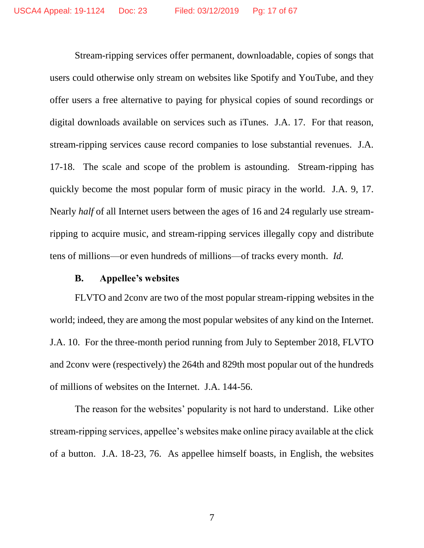Stream-ripping services offer permanent, downloadable, copies of songs that users could otherwise only stream on websites like Spotify and YouTube, and they offer users a free alternative to paying for physical copies of sound recordings or digital downloads available on services such as iTunes. J.A. 17. For that reason, stream-ripping services cause record companies to lose substantial revenues. J.A. 17-18. The scale and scope of the problem is astounding. Stream-ripping has quickly become the most popular form of music piracy in the world. J.A. 9, 17. Nearly *half* of all Internet users between the ages of 16 and 24 regularly use streamripping to acquire music, and stream-ripping services illegally copy and distribute tens of millions—or even hundreds of millions—of tracks every month. *Id.*

#### **B. Appellee's websites**

<span id="page-16-0"></span>FLVTO and 2conv are two of the most popular stream-ripping websites in the world; indeed, they are among the most popular websites of any kind on the Internet. J.A. 10. For the three-month period running from July to September 2018, FLVTO and 2conv were (respectively) the 264th and 829th most popular out of the hundreds of millions of websites on the Internet. J.A. 144-56.

The reason for the websites' popularity is not hard to understand. Like other stream-ripping services, appellee's websites make online piracy available at the click of a button. J.A. 18-23, 76. As appellee himself boasts, in English, the websites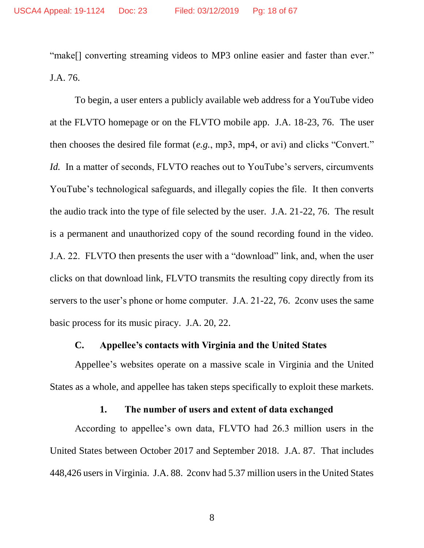"make<sup>[]</sup> converting streaming videos to MP3 online easier and faster than ever." J.A. 76.

To begin, a user enters a publicly available web address for a YouTube video at the FLVTO homepage or on the FLVTO mobile app. J.A. 18-23, 76. The user then chooses the desired file format (*e.g.*, mp3, mp4, or avi) and clicks "Convert." *Id.* In a matter of seconds, FLVTO reaches out to YouTube's servers, circumvents YouTube's technological safeguards, and illegally copies the file. It then converts the audio track into the type of file selected by the user. J.A. 21-22, 76. The result is a permanent and unauthorized copy of the sound recording found in the video. J.A. 22. FLVTO then presents the user with a "download" link, and, when the user clicks on that download link, FLVTO transmits the resulting copy directly from its servers to the user's phone or home computer. J.A. 21-22, 76. 2conv uses the same basic process for its music piracy. J.A. 20, 22.

### **C. Appellee's contacts with Virginia and the United States**

<span id="page-17-0"></span>Appellee's websites operate on a massive scale in Virginia and the United States as a whole, and appellee has taken steps specifically to exploit these markets.

### **1. The number of users and extent of data exchanged**

<span id="page-17-1"></span>According to appellee's own data, FLVTO had 26.3 million users in the United States between October 2017 and September 2018. J.A. 87. That includes 448,426 users in Virginia. J.A. 88. 2conv had 5.37 million users in the United States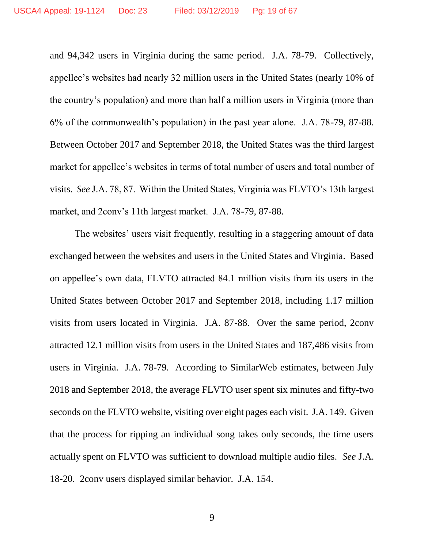and 94,342 users in Virginia during the same period. J.A. 78-79. Collectively, appellee's websites had nearly 32 million users in the United States (nearly 10% of the country's population) and more than half a million users in Virginia (more than 6% of the commonwealth's population) in the past year alone. J.A. 78-79, 87-88. Between October 2017 and September 2018, the United States was the third largest market for appellee's websites in terms of total number of users and total number of visits. *See* J.A. 78, 87. Within the United States, Virginia was FLVTO's 13th largest market, and 2conv's 11th largest market. J.A. 78-79, 87-88.

The websites' users visit frequently, resulting in a staggering amount of data exchanged between the websites and users in the United States and Virginia. Based on appellee's own data, FLVTO attracted 84.1 million visits from its users in the United States between October 2017 and September 2018, including 1.17 million visits from users located in Virginia. J.A. 87-88. Over the same period, 2conv attracted 12.1 million visits from users in the United States and 187,486 visits from users in Virginia. J.A. 78-79. According to SimilarWeb estimates, between July 2018 and September 2018, the average FLVTO user spent six minutes and fifty-two seconds on the FLVTO website, visiting over eight pages each visit. J.A. 149. Given that the process for ripping an individual song takes only seconds, the time users actually spent on FLVTO was sufficient to download multiple audio files. *See* J.A. 18-20. 2conv users displayed similar behavior. J.A. 154.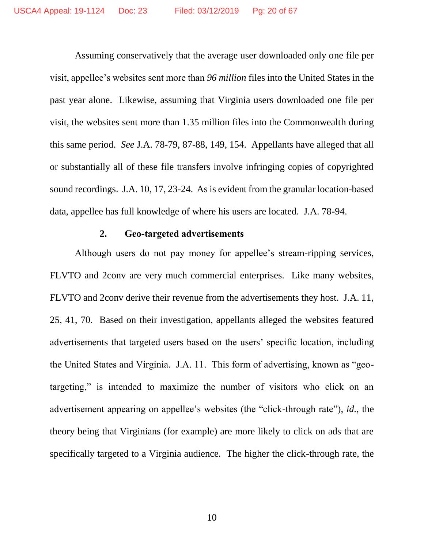Assuming conservatively that the average user downloaded only one file per visit, appellee's websites sent more than *96 million* files into the United States in the past year alone. Likewise, assuming that Virginia users downloaded one file per visit, the websites sent more than 1.35 million files into the Commonwealth during this same period. *See* J.A. 78-79, 87-88, 149, 154. Appellants have alleged that all or substantially all of these file transfers involve infringing copies of copyrighted sound recordings. J.A. 10, 17, 23-24. As is evident from the granular location-based data, appellee has full knowledge of where his users are located. J.A. 78-94.

### **2. Geo-targeted advertisements**

<span id="page-19-0"></span>Although users do not pay money for appellee's stream-ripping services, FLVTO and 2conv are very much commercial enterprises. Like many websites, FLVTO and 2conv derive their revenue from the advertisements they host. J.A. 11, 25, 41, 70. Based on their investigation, appellants alleged the websites featured advertisements that targeted users based on the users' specific location, including the United States and Virginia. J.A. 11. This form of advertising, known as "geotargeting," is intended to maximize the number of visitors who click on an advertisement appearing on appellee's websites (the "click-through rate"), *id.*, the theory being that Virginians (for example) are more likely to click on ads that are specifically targeted to a Virginia audience. The higher the click-through rate, the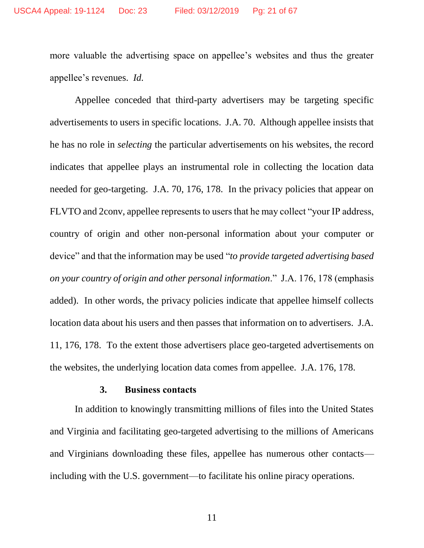more valuable the advertising space on appellee's websites and thus the greater appellee's revenues. *Id.*

Appellee conceded that third-party advertisers may be targeting specific advertisements to users in specific locations. J.A. 70. Although appellee insists that he has no role in *selecting* the particular advertisements on his websites, the record indicates that appellee plays an instrumental role in collecting the location data needed for geo-targeting. J.A. 70, 176, 178. In the privacy policies that appear on FLVTO and 2conv, appellee represents to users that he may collect "your IP address, country of origin and other non-personal information about your computer or device" and that the information may be used "*to provide targeted advertising based on your country of origin and other personal information*." J.A. 176, 178 (emphasis added). In other words, the privacy policies indicate that appellee himself collects location data about his users and then passes that information on to advertisers. J.A. 11, 176, 178. To the extent those advertisers place geo-targeted advertisements on the websites, the underlying location data comes from appellee. J.A. 176, 178.

#### **3. Business contacts**

<span id="page-20-0"></span>In addition to knowingly transmitting millions of files into the United States and Virginia and facilitating geo-targeted advertising to the millions of Americans and Virginians downloading these files, appellee has numerous other contacts including with the U.S. government—to facilitate his online piracy operations.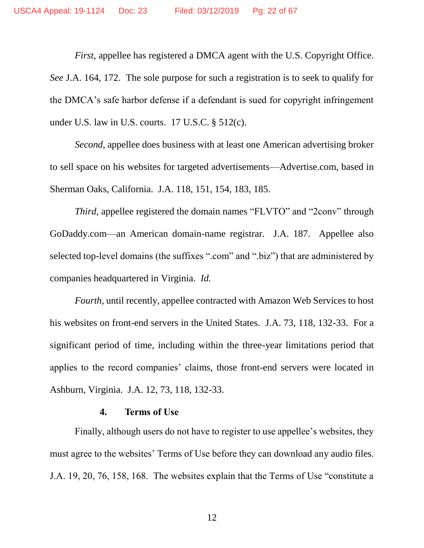*First*, appellee has registered a DMCA agent with the U.S. Copyright Office. *See* J.A. 164, 172. The sole purpose for such a registration is to seek to qualify for the DMCA's safe harbor defense if a defendant is sued for copyright infringement under U.S. law in U.S. courts. 17 U.S.C. § 512(c).

*Second*, appellee does business with at least one American advertising broker to sell space on his websites for targeted advertisements—Advertise.com, based in Sherman Oaks, California. J.A. 118, 151, 154, 183, 185.

*Third*, appellee registered the domain names "FLVTO" and "2conv" through GoDaddy.com—an American domain-name registrar. J.A. 187. Appellee also selected top-level domains (the suffixes ".com" and ".biz") that are administered by companies headquartered in Virginia. *Id.*

*Fourth*, until recently, appellee contracted with Amazon Web Services to host his websites on front-end servers in the United States. J.A. 73, 118, 132-33. For a significant period of time, including within the three-year limitations period that applies to the record companies' claims, those front-end servers were located in Ashburn, Virginia. J.A. 12, 73, 118, 132-33.

#### **4. Terms of Use**

<span id="page-21-0"></span>Finally, although users do not have to register to use appellee's websites, they must agree to the websites' Terms of Use before they can download any audio files. J.A. 19, 20, 76, 158, 168. The websites explain that the Terms of Use "constitute a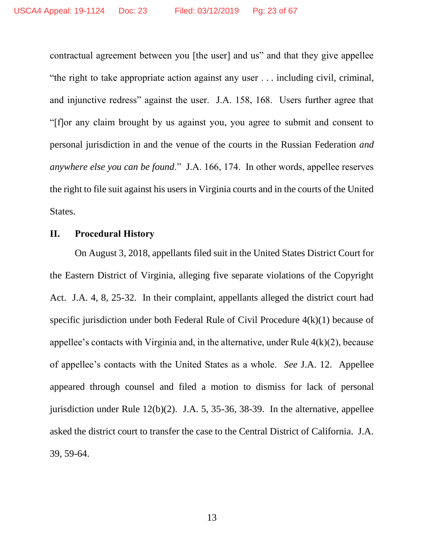contractual agreement between you [the user] and us" and that they give appellee "the right to take appropriate action against any user . . . including civil, criminal, and injunctive redress" against the user. J.A. 158, 168. Users further agree that "[f]or any claim brought by us against you, you agree to submit and consent to personal jurisdiction in and the venue of the courts in the Russian Federation *and anywhere else you can be found*." J.A. 166, 174. In other words, appellee reserves the right to file suit against his users in Virginia courts and in the courts of the United States.

### <span id="page-22-0"></span>**II. Procedural History**

On August 3, 2018, appellants filed suit in the United States District Court for the Eastern District of Virginia, alleging five separate violations of the Copyright Act. J.A. 4, 8, 25-32. In their complaint, appellants alleged the district court had specific jurisdiction under both Federal Rule of Civil Procedure 4(k)(1) because of appellee's contacts with Virginia and, in the alternative, under Rule 4(k)(2), because of appellee's contacts with the United States as a whole. *See* J.A. 12. Appellee appeared through counsel and filed a motion to dismiss for lack of personal jurisdiction under Rule 12(b)(2). J.A. 5, 35-36, 38-39. In the alternative, appellee asked the district court to transfer the case to the Central District of California. J.A. 39, 59-64.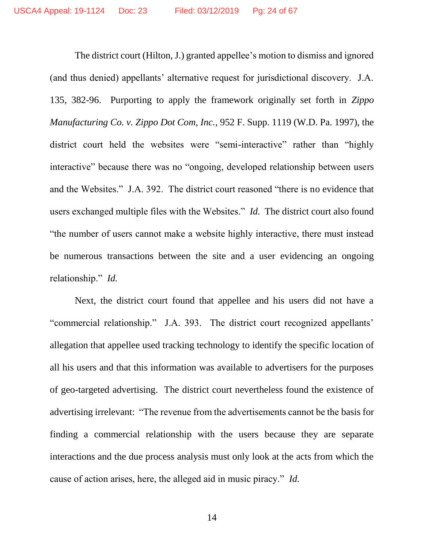The district court (Hilton, J.) granted appellee's motion to dismiss and ignored (and thus denied) appellants' alternative request for jurisdictional discovery. J.A. 135, 382-96. Purporting to apply the framework originally set forth in *Zippo Manufacturing Co. v. Zippo Dot Com, Inc.*, 952 F. Supp. 1119 (W.D. Pa. 1997), the district court held the websites were "semi-interactive" rather than "highly interactive" because there was no "ongoing, developed relationship between users and the Websites." J.A. 392. The district court reasoned "there is no evidence that users exchanged multiple files with the Websites." *Id.* The district court also found "the number of users cannot make a website highly interactive, there must instead be numerous transactions between the site and a user evidencing an ongoing relationship." *Id.*

Next, the district court found that appellee and his users did not have a "commercial relationship." J.A. 393. The district court recognized appellants' allegation that appellee used tracking technology to identify the specific location of all his users and that this information was available to advertisers for the purposes of geo-targeted advertising. The district court nevertheless found the existence of advertising irrelevant: "The revenue from the advertisements cannot be the basis for finding a commercial relationship with the users because they are separate interactions and the due process analysis must only look at the acts from which the cause of action arises, here, the alleged aid in music piracy." *Id.*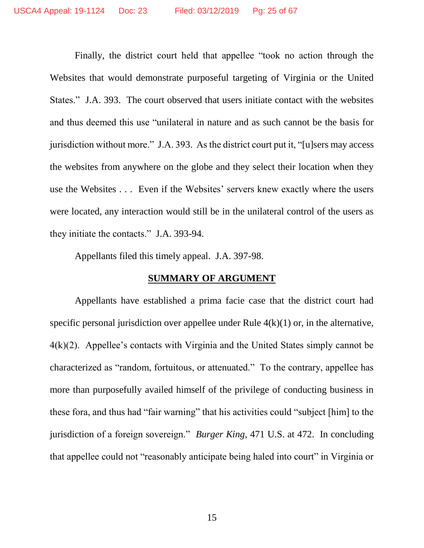Finally, the district court held that appellee "took no action through the Websites that would demonstrate purposeful targeting of Virginia or the United States." J.A. 393. The court observed that users initiate contact with the websites and thus deemed this use "unilateral in nature and as such cannot be the basis for jurisdiction without more." J.A. 393. As the district court put it, "[u]sers may access the websites from anywhere on the globe and they select their location when they use the Websites . . . Even if the Websites' servers knew exactly where the users were located, any interaction would still be in the unilateral control of the users as they initiate the contacts." J.A. 393-94.

Appellants filed this timely appeal. J.A. 397-98.

## **SUMMARY OF ARGUMENT**

<span id="page-24-0"></span>Appellants have established a prima facie case that the district court had specific personal jurisdiction over appellee under Rule  $4(k)(1)$  or, in the alternative, 4(k)(2). Appellee's contacts with Virginia and the United States simply cannot be characterized as "random, fortuitous, or attenuated." To the contrary, appellee has more than purposefully availed himself of the privilege of conducting business in these fora, and thus had "fair warning" that his activities could "subject [him] to the jurisdiction of a foreign sovereign." *Burger King*, 471 U.S. at 472. In concluding that appellee could not "reasonably anticipate being haled into court" in Virginia or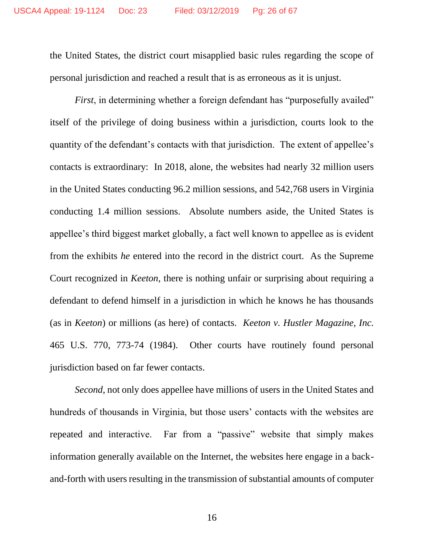the United States, the district court misapplied basic rules regarding the scope of personal jurisdiction and reached a result that is as erroneous as it is unjust.

*First*, in determining whether a foreign defendant has "purposefully availed" itself of the privilege of doing business within a jurisdiction, courts look to the quantity of the defendant's contacts with that jurisdiction. The extent of appellee's contacts is extraordinary: In 2018, alone, the websites had nearly 32 million users in the United States conducting 96.2 million sessions, and 542,768 users in Virginia conducting 1.4 million sessions. Absolute numbers aside, the United States is appellee's third biggest market globally, a fact well known to appellee as is evident from the exhibits *he* entered into the record in the district court. As the Supreme Court recognized in *Keeton*, there is nothing unfair or surprising about requiring a defendant to defend himself in a jurisdiction in which he knows he has thousands (as in *Keeton*) or millions (as here) of contacts. *Keeton v. Hustler Magazine, Inc.* 465 U.S. 770, 773-74 (1984). Other courts have routinely found personal jurisdiction based on far fewer contacts.

*Second*, not only does appellee have millions of users in the United States and hundreds of thousands in Virginia, but those users' contacts with the websites are repeated and interactive. Far from a "passive" website that simply makes information generally available on the Internet, the websites here engage in a backand-forth with users resulting in the transmission of substantial amounts of computer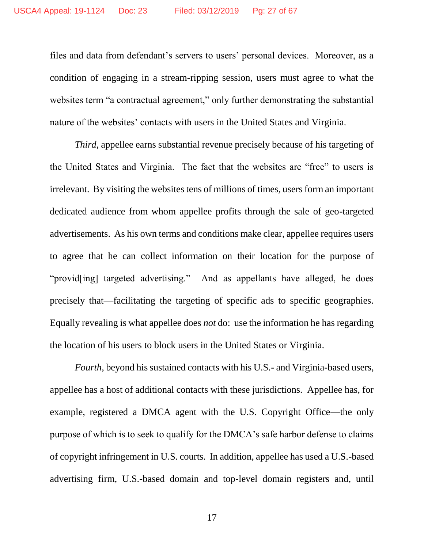files and data from defendant's servers to users' personal devices. Moreover, as a condition of engaging in a stream-ripping session, users must agree to what the websites term "a contractual agreement," only further demonstrating the substantial nature of the websites' contacts with users in the United States and Virginia.

*Third*, appellee earns substantial revenue precisely because of his targeting of the United States and Virginia. The fact that the websites are "free" to users is irrelevant. By visiting the websites tens of millions of times, users form an important dedicated audience from whom appellee profits through the sale of geo-targeted advertisements. As his own terms and conditions make clear, appellee requires users to agree that he can collect information on their location for the purpose of "provid[ing] targeted advertising." And as appellants have alleged, he does precisely that—facilitating the targeting of specific ads to specific geographies. Equally revealing is what appellee does *not* do: use the information he has regarding the location of his users to block users in the United States or Virginia.

*Fourth*, beyond his sustained contacts with his U.S.- and Virginia-based users, appellee has a host of additional contacts with these jurisdictions. Appellee has, for example, registered a DMCA agent with the U.S. Copyright Office—the only purpose of which is to seek to qualify for the DMCA's safe harbor defense to claims of copyright infringement in U.S. courts. In addition, appellee has used a U.S.-based advertising firm, U.S.-based domain and top-level domain registers and, until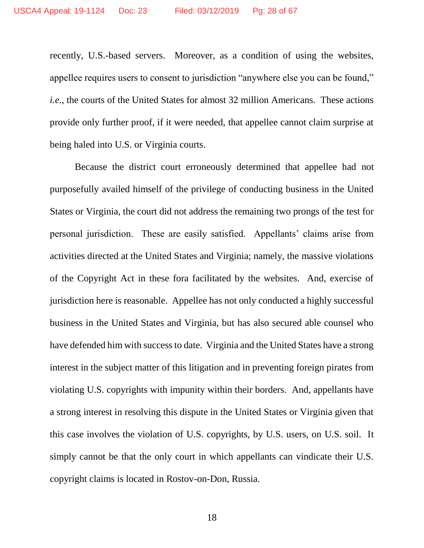recently, U.S.-based servers. Moreover, as a condition of using the websites, appellee requires users to consent to jurisdiction "anywhere else you can be found," *i.e.*, the courts of the United States for almost 32 million Americans. These actions provide only further proof, if it were needed, that appellee cannot claim surprise at being haled into U.S. or Virginia courts.

Because the district court erroneously determined that appellee had not purposefully availed himself of the privilege of conducting business in the United States or Virginia, the court did not address the remaining two prongs of the test for personal jurisdiction. These are easily satisfied. Appellants' claims arise from activities directed at the United States and Virginia; namely, the massive violations of the Copyright Act in these fora facilitated by the websites. And, exercise of jurisdiction here is reasonable. Appellee has not only conducted a highly successful business in the United States and Virginia, but has also secured able counsel who have defended him with success to date. Virginia and the United States have a strong interest in the subject matter of this litigation and in preventing foreign pirates from violating U.S. copyrights with impunity within their borders. And, appellants have a strong interest in resolving this dispute in the United States or Virginia given that this case involves the violation of U.S. copyrights, by U.S. users, on U.S. soil. It simply cannot be that the only court in which appellants can vindicate their U.S. copyright claims is located in Rostov-on-Don, Russia.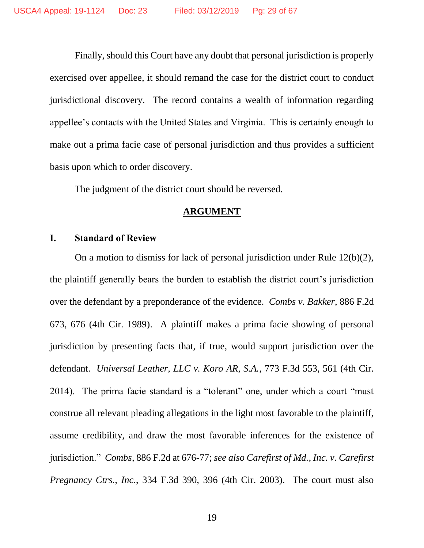Finally, should this Court have any doubt that personal jurisdiction is properly exercised over appellee, it should remand the case for the district court to conduct jurisdictional discovery. The record contains a wealth of information regarding appellee's contacts with the United States and Virginia. This is certainly enough to make out a prima facie case of personal jurisdiction and thus provides a sufficient basis upon which to order discovery.

The judgment of the district court should be reversed.

#### **ARGUMENT**

## <span id="page-28-1"></span><span id="page-28-0"></span>**I. Standard of Review**

On a motion to dismiss for lack of personal jurisdiction under Rule 12(b)(2), the plaintiff generally bears the burden to establish the district court's jurisdiction over the defendant by a preponderance of the evidence. *Combs v. Bakker*, 886 F.2d 673, 676 (4th Cir. 1989). A plaintiff makes a prima facie showing of personal jurisdiction by presenting facts that, if true, would support jurisdiction over the defendant. *Universal Leather, LLC v. Koro AR, S.A.*, 773 F.3d 553, 561 (4th Cir. 2014). The prima facie standard is a "tolerant" one, under which a court "must construe all relevant pleading allegations in the light most favorable to the plaintiff, assume credibility, and draw the most favorable inferences for the existence of jurisdiction." *Combs*, 886 F.2d at 676-77; *see also Carefirst of Md., Inc. v. Carefirst Pregnancy Ctrs., Inc.*, 334 F.3d 390, 396 (4th Cir. 2003). The court must also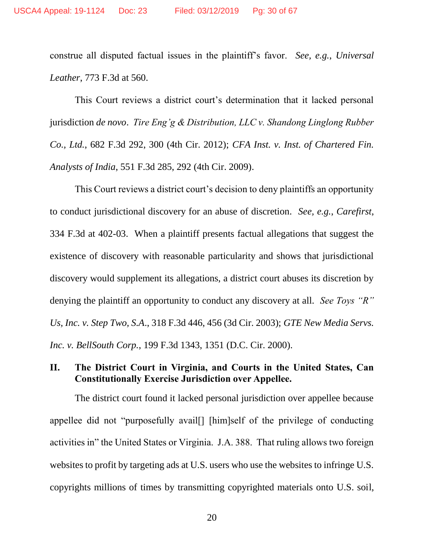construe all disputed factual issues in the plaintiff's favor. *See, e.g.*, *Universal Leather*, 773 F.3d at 560.

This Court reviews a district court's determination that it lacked personal jurisdiction *de novo*. *Tire Eng'g & Distribution, LLC v. Shandong Linglong Rubber Co., Ltd.*, 682 F.3d 292, 300 (4th Cir. 2012); *CFA Inst. v. Inst. of Chartered Fin. Analysts of India*, 551 F.3d 285, 292 (4th Cir. 2009).

This Court reviews a district court's decision to deny plaintiffs an opportunity to conduct jurisdictional discovery for an abuse of discretion. *See, e.g.*, *Carefirst*, 334 F.3d at 402-03. When a plaintiff presents factual allegations that suggest the existence of discovery with reasonable particularity and shows that jurisdictional discovery would supplement its allegations, a district court abuses its discretion by denying the plaintiff an opportunity to conduct any discovery at all. *See Toys "R" Us, Inc. v. Step Two, S.A*., 318 F.3d 446, 456 (3d Cir. 2003); *GTE New Media Servs. Inc. v. BellSouth Corp.*, 199 F.3d 1343, 1351 (D.C. Cir. 2000).

## <span id="page-29-0"></span>**II. The District Court in Virginia, and Courts in the United States, Can Constitutionally Exercise Jurisdiction over Appellee.**

The district court found it lacked personal jurisdiction over appellee because appellee did not "purposefully avail[] [him]self of the privilege of conducting activities in" the United States or Virginia. J.A. 388. That ruling allows two foreign websites to profit by targeting ads at U.S. users who use the websites to infringe U.S. copyrights millions of times by transmitting copyrighted materials onto U.S. soil,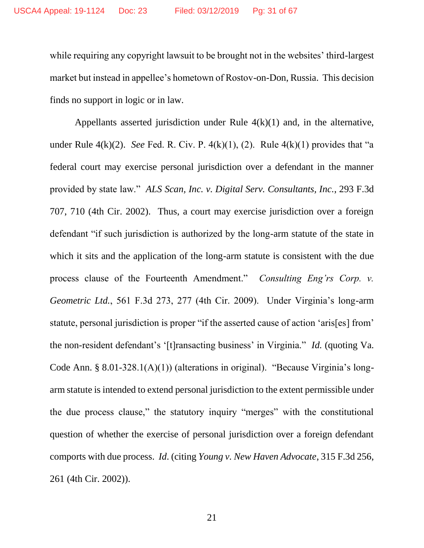while requiring any copyright lawsuit to be brought not in the websites' third-largest market but instead in appellee's hometown of Rostov-on-Don, Russia. This decision finds no support in logic or in law.

Appellants asserted jurisdiction under Rule  $4(k)(1)$  and, in the alternative, under Rule  $4(k)(2)$ . *See* Fed. R. Civ. P.  $4(k)(1)$ , (2). Rule  $4(k)(1)$  provides that "a federal court may exercise personal jurisdiction over a defendant in the manner provided by state law." *ALS Scan, Inc. v. Digital Serv. Consultants, Inc.*, 293 F.3d 707, 710 (4th Cir. 2002). Thus, a court may exercise jurisdiction over a foreign defendant "if such jurisdiction is authorized by the long-arm statute of the state in which it sits and the application of the long-arm statute is consistent with the due process clause of the Fourteenth Amendment." *Consulting Eng'rs Corp. v. Geometric Ltd.*, 561 F.3d 273, 277 (4th Cir. 2009). Under Virginia's long-arm statute, personal jurisdiction is proper "if the asserted cause of action 'aris[es] from' the non-resident defendant's '[t]ransacting business' in Virginia." *Id.* (quoting Va. Code Ann. § 8.01-328.1(A)(1)) (alterations in original). "Because Virginia's longarm statute is intended to extend personal jurisdiction to the extent permissible under the due process clause," the statutory inquiry "merges" with the constitutional question of whether the exercise of personal jurisdiction over a foreign defendant comports with due process. *Id*. (citing *Young v. New Haven Advocate*, 315 F.3d 256, 261 (4th Cir. 2002)).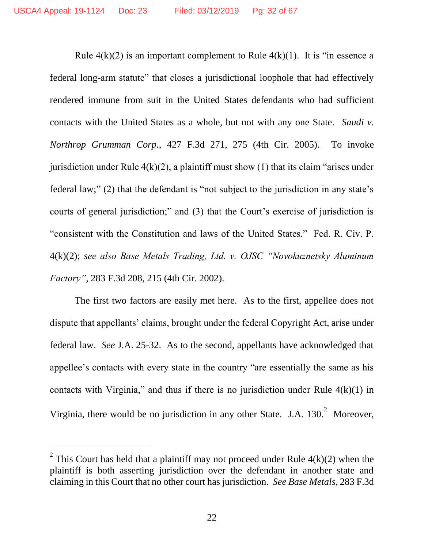Rule  $4(k)(2)$  is an important complement to Rule  $4(k)(1)$ . It is "in essence a federal long-arm statute" that closes a jurisdictional loophole that had effectively rendered immune from suit in the United States defendants who had sufficient contacts with the United States as a whole, but not with any one State. *Saudi v. Northrop Grumman Corp.*, 427 F.3d 271, 275 (4th Cir. 2005). To invoke jurisdiction under Rule  $4(k)(2)$ , a plaintiff must show (1) that its claim "arises under federal law;" (2) that the defendant is "not subject to the jurisdiction in any state's courts of general jurisdiction;" and (3) that the Court's exercise of jurisdiction is "consistent with the Constitution and laws of the United States." Fed. R. Civ. P. 4(k)(2); *see also Base Metals Trading, Ltd. v. OJSC "Novokuznetsky Aluminum Factory"*, 283 F.3d 208, 215 (4th Cir. 2002).

The first two factors are easily met here. As to the first, appellee does not dispute that appellants' claims, brought under the federal Copyright Act, arise under federal law. *See* J.A. 25-32. As to the second, appellants have acknowledged that appellee's contacts with every state in the country "are essentially the same as his contacts with Virginia," and thus if there is no jurisdiction under Rule  $4(k)(1)$  in Virginia, there would be no jurisdiction in any other State. J.A.  $130.<sup>2</sup>$  Moreover,

 $\overline{a}$ 

<sup>&</sup>lt;sup>2</sup> This Court has held that a plaintiff may not proceed under Rule  $4(k)(2)$  when the plaintiff is both asserting jurisdiction over the defendant in another state and claiming in this Court that no other court has jurisdiction. *See Base Metals*, 283 F.3d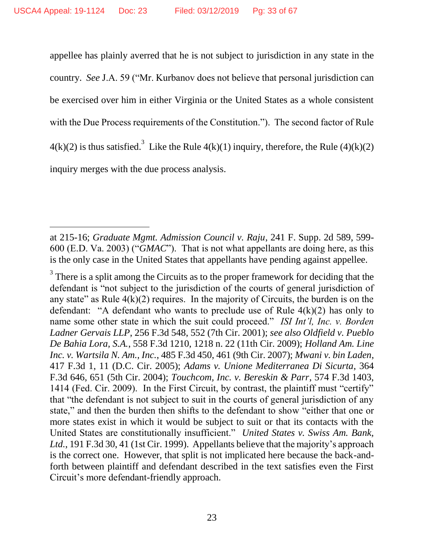$\overline{a}$ 

appellee has plainly averred that he is not subject to jurisdiction in any state in the country. *See* J.A. 59 ("Mr. Kurbanov does not believe that personal jurisdiction can be exercised over him in either Virginia or the United States as a whole consistent with the Due Process requirements of the Constitution."). The second factor of Rule  $4(k)(2)$  is thus satisfied.<sup>3</sup> Like the Rule  $4(k)(1)$  inquiry, therefore, the Rule  $(4)(k)(2)$ inquiry merges with the due process analysis.

at 215-16; *Graduate Mgmt. Admission Council v. Raju*, 241 F. Supp. 2d 589, 599- 600 (E.D. Va. 2003) ("*GMAC*"). That is not what appellants are doing here, as this is the only case in the United States that appellants have pending against appellee.

 $3<sup>3</sup>$  There is a split among the Circuits as to the proper framework for deciding that the defendant is "not subject to the jurisdiction of the courts of general jurisdiction of any state" as Rule  $4(k)(2)$  requires. In the majority of Circuits, the burden is on the defendant: "A defendant who wants to preclude use of Rule  $4(k)(2)$  has only to name some other state in which the suit could proceed." *ISI Int'l, Inc. v. Borden Ladner Gervais LLP*, 256 F.3d 548, 552 (7th Cir. 2001); *see also Oldfield v. Pueblo De Bahia Lora, S.A.*, 558 F.3d 1210, 1218 n. 22 (11th Cir. 2009); *Holland Am. Line Inc. v. Wartsila N. Am., Inc.*, 485 F.3d 450, 461 (9th Cir. 2007); *Mwani v. bin Laden*, 417 F.3d 1, 11 (D.C. Cir. 2005); *Adams v. Unione Mediterranea Di Sicurta*, 364 F.3d 646, 651 (5th Cir. 2004); *Touchcom, Inc. v. Bereskin & Parr*, 574 F.3d 1403, 1414 (Fed. Cir. 2009). In the First Circuit, by contrast, the plaintiff must "certify" that "the defendant is not subject to suit in the courts of general jurisdiction of any state," and then the burden then shifts to the defendant to show "either that one or more states exist in which it would be subject to suit or that its contacts with the United States are constitutionally insufficient." *United States v. Swiss Am. Bank, Ltd.*, 191 F.3d 30, 41 (1st Cir. 1999). Appellants believe that the majority's approach is the correct one. However, that split is not implicated here because the back-andforth between plaintiff and defendant described in the text satisfies even the First Circuit's more defendant-friendly approach.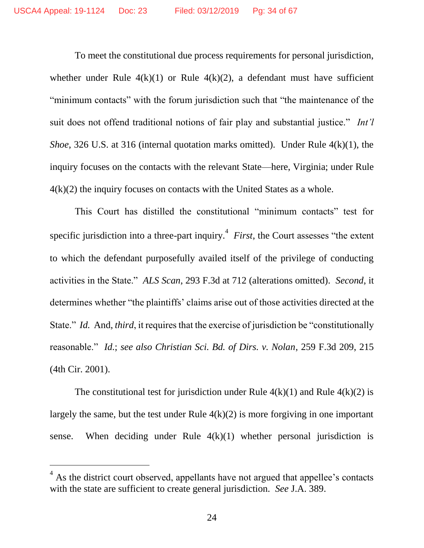To meet the constitutional due process requirements for personal jurisdiction, whether under Rule  $4(k)(1)$  or Rule  $4(k)(2)$ , a defendant must have sufficient "minimum contacts" with the forum jurisdiction such that "the maintenance of the suit does not offend traditional notions of fair play and substantial justice." *Int'l Shoe*, 326 U.S. at 316 (internal quotation marks omitted). Under Rule 4(k)(1), the inquiry focuses on the contacts with the relevant State—here, Virginia; under Rule  $4(k)(2)$  the inquiry focuses on contacts with the United States as a whole.

This Court has distilled the constitutional "minimum contacts" test for specific jurisdiction into a three-part inquiry.<sup>4</sup> *First*, the Court assesses "the extent to which the defendant purposefully availed itself of the privilege of conducting activities in the State." *ALS Scan*, 293 F.3d at 712 (alterations omitted). *Second*, it determines whether "the plaintiffs' claims arise out of those activities directed at the State." *Id.* And, *third*, it requires that the exercise of jurisdiction be "constitutionally reasonable." *Id.*; *see also Christian Sci. Bd. of Dirs. v. Nolan*, 259 F.3d 209, 215 (4th Cir. 2001).

The constitutional test for jurisdiction under Rule  $4(k)(1)$  and Rule  $4(k)(2)$  is largely the same, but the test under Rule  $4(k)(2)$  is more forgiving in one important sense. When deciding under Rule  $4(k)(1)$  whether personal jurisdiction is

 $\overline{a}$ 

<sup>4</sup> As the district court observed, appellants have not argued that appellee's contacts with the state are sufficient to create general jurisdiction. *See* J.A. 389.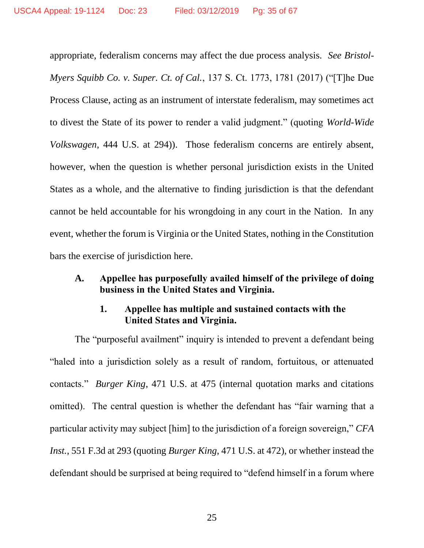appropriate, federalism concerns may affect the due process analysis. *See Bristol-Myers Squibb Co. v. Super. Ct. of Cal.*, 137 S. Ct. 1773, 1781 (2017) ("[T]he Due Process Clause, acting as an instrument of interstate federalism, may sometimes act to divest the State of its power to render a valid judgment." (quoting *World-Wide Volkswagen*, 444 U.S. at 294)). Those federalism concerns are entirely absent, however, when the question is whether personal jurisdiction exists in the United States as a whole, and the alternative to finding jurisdiction is that the defendant cannot be held accountable for his wrongdoing in any court in the Nation. In any event, whether the forum is Virginia or the United States, nothing in the Constitution bars the exercise of jurisdiction here.

## <span id="page-34-0"></span>**A. Appellee has purposefully availed himself of the privilege of doing business in the United States and Virginia.**

## **1. Appellee has multiple and sustained contacts with the United States and Virginia.**

<span id="page-34-1"></span>The "purposeful availment" inquiry is intended to prevent a defendant being "haled into a jurisdiction solely as a result of random, fortuitous, or attenuated contacts." *Burger King*, 471 U.S. at 475 (internal quotation marks and citations omitted). The central question is whether the defendant has "fair warning that a particular activity may subject [him] to the jurisdiction of a foreign sovereign," *CFA Inst.*, 551 F.3d at 293 (quoting *Burger King*, 471 U.S. at 472), or whether instead the defendant should be surprised at being required to "defend himself in a forum where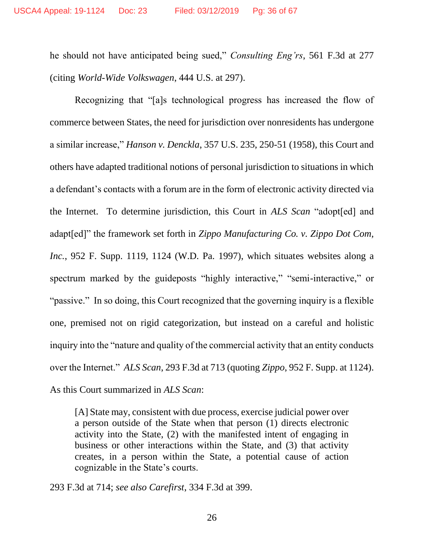he should not have anticipated being sued," *Consulting Eng'rs*, 561 F.3d at 277 (citing *World-Wide Volkswagen*, 444 U.S. at 297).

Recognizing that "[a]s technological progress has increased the flow of commerce between States, the need for jurisdiction over nonresidents has undergone a similar increase," *Hanson v. Denckla*, 357 U.S. 235, 250-51 (1958), this Court and others have adapted traditional notions of personal jurisdiction to situations in which a defendant's contacts with a forum are in the form of electronic activity directed via the Internet. To determine jurisdiction, this Court in *ALS Scan* "adopt[ed] and adapt[ed]" the framework set forth in *Zippo Manufacturing Co. v. Zippo Dot Com, Inc.*, 952 F. Supp. 1119, 1124 (W.D. Pa. 1997), which situates websites along a spectrum marked by the guideposts "highly interactive," "semi-interactive," or "passive." In so doing, this Court recognized that the governing inquiry is a flexible one, premised not on rigid categorization, but instead on a careful and holistic inquiry into the "nature and quality of the commercial activity that an entity conducts over the Internet." *ALS Scan*, 293 F.3d at 713 (quoting *Zippo*, 952 F. Supp. at 1124). As this Court summarized in *ALS Scan*:

[A] State may, consistent with due process, exercise judicial power over a person outside of the State when that person (1) directs electronic activity into the State, (2) with the manifested intent of engaging in business or other interactions within the State, and (3) that activity creates, in a person within the State, a potential cause of action cognizable in the State's courts.

293 F.3d at 714; *see also Carefirst*, 334 F.3d at 399.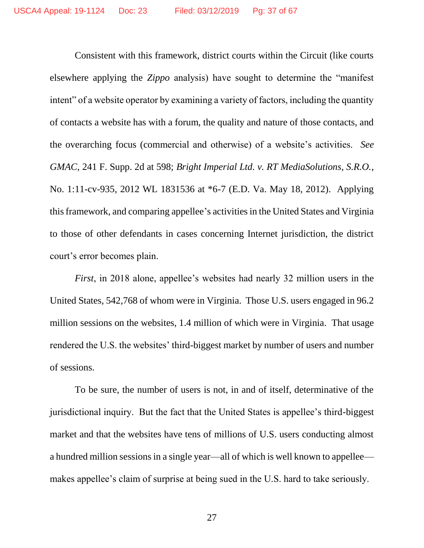Consistent with this framework, district courts within the Circuit (like courts elsewhere applying the *Zippo* analysis) have sought to determine the "manifest intent" of a website operator by examining a variety of factors, including the quantity of contacts a website has with a forum, the quality and nature of those contacts, and the overarching focus (commercial and otherwise) of a website's activities. *See GMAC*, 241 F. Supp. 2d at 598; *Bright Imperial Ltd. v. RT MediaSolutions, S.R.O.*, No. 1:11-cv-935, 2012 WL 1831536 at \*6-7 (E.D. Va. May 18, 2012). Applying this framework, and comparing appellee's activities in the United States and Virginia to those of other defendants in cases concerning Internet jurisdiction, the district court's error becomes plain.

*First*, in 2018 alone, appellee's websites had nearly 32 million users in the United States, 542,768 of whom were in Virginia. Those U.S. users engaged in 96.2 million sessions on the websites, 1.4 million of which were in Virginia. That usage rendered the U.S. the websites' third-biggest market by number of users and number of sessions.

To be sure, the number of users is not, in and of itself, determinative of the jurisdictional inquiry. But the fact that the United States is appellee's third-biggest market and that the websites have tens of millions of U.S. users conducting almost a hundred million sessions in a single year—all of which is well known to appellee makes appellee's claim of surprise at being sued in the U.S. hard to take seriously.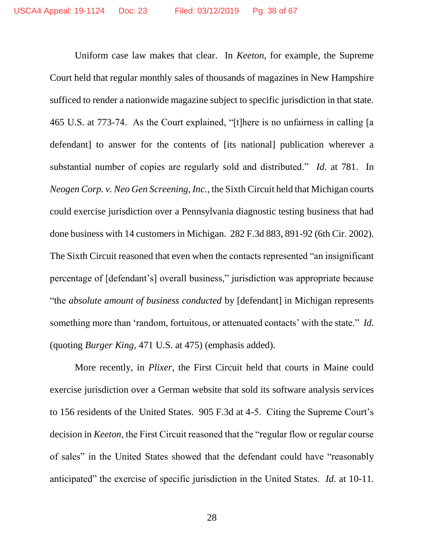Uniform case law makes that clear. In *Keeton*, for example, the Supreme Court held that regular monthly sales of thousands of magazines in New Hampshire sufficed to render a nationwide magazine subject to specific jurisdiction in that state. 465 U.S. at 773-74. As the Court explained, "[t]here is no unfairness in calling [a defendant] to answer for the contents of [its national] publication wherever a substantial number of copies are regularly sold and distributed." *Id.* at 781. In *Neogen Corp. v. Neo Gen Screening, Inc.*, the Sixth Circuit held that Michigan courts could exercise jurisdiction over a Pennsylvania diagnostic testing business that had done business with 14 customers in Michigan. 282 F.3d 883, 891-92 (6th Cir. 2002). The Sixth Circuit reasoned that even when the contacts represented "an insignificant percentage of [defendant's] overall business," jurisdiction was appropriate because "the *absolute amount of business conducted* by [defendant] in Michigan represents something more than 'random, fortuitous, or attenuated contacts' with the state." *Id.* (quoting *Burger King*, 471 U.S. at 475) (emphasis added).

More recently, in *Plixer*, the First Circuit held that courts in Maine could exercise jurisdiction over a German website that sold its software analysis services to 156 residents of the United States. 905 F.3d at 4-5. Citing the Supreme Court's decision in *Keeton*, the First Circuit reasoned that the "regular flow or regular course of sales" in the United States showed that the defendant could have "reasonably anticipated" the exercise of specific jurisdiction in the United States. *Id.* at 10-11.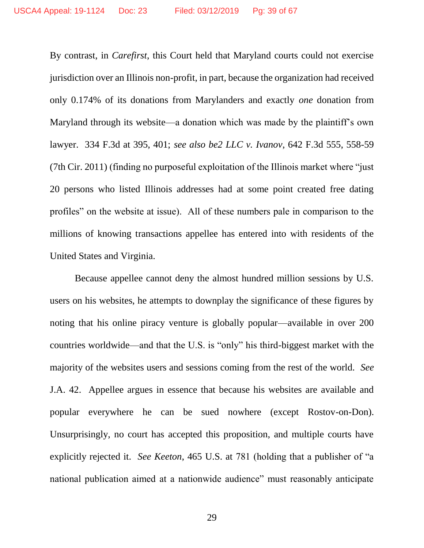By contrast, in *Carefirst*, this Court held that Maryland courts could not exercise jurisdiction over an Illinois non-profit, in part, because the organization had received only 0.174% of its donations from Marylanders and exactly *one* donation from Maryland through its website—a donation which was made by the plaintiff's own lawyer. 334 F.3d at 395, 401; *see also be2 LLC v. Ivanov*, 642 F.3d 555, 558-59 (7th Cir. 2011) (finding no purposeful exploitation of the Illinois market where "just 20 persons who listed Illinois addresses had at some point created free dating profiles" on the website at issue). All of these numbers pale in comparison to the millions of knowing transactions appellee has entered into with residents of the United States and Virginia.

Because appellee cannot deny the almost hundred million sessions by U.S. users on his websites, he attempts to downplay the significance of these figures by noting that his online piracy venture is globally popular—available in over 200 countries worldwide—and that the U.S. is "only" his third-biggest market with the majority of the websites users and sessions coming from the rest of the world. *See*  J.A. 42. Appellee argues in essence that because his websites are available and popular everywhere he can be sued nowhere (except Rostov-on-Don). Unsurprisingly, no court has accepted this proposition, and multiple courts have explicitly rejected it. *See Keeton*, 465 U.S. at 781 (holding that a publisher of "a national publication aimed at a nationwide audience" must reasonably anticipate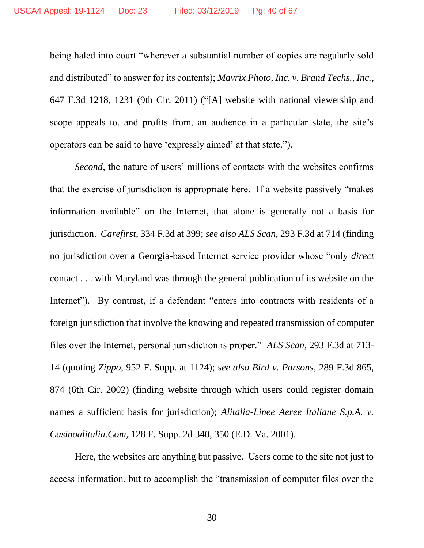being haled into court "wherever a substantial number of copies are regularly sold and distributed" to answer for its contents); *Mavrix Photo, Inc. v. Brand Techs., Inc.*, 647 F.3d 1218, 1231 (9th Cir. 2011) ("[A] website with national viewership and scope appeals to, and profits from, an audience in a particular state, the site's operators can be said to have 'expressly aimed' at that state.").

*Second*, the nature of users' millions of contacts with the websites confirms that the exercise of jurisdiction is appropriate here. If a website passively "makes information available" on the Internet, that alone is generally not a basis for jurisdiction. *Carefirst*, 334 F.3d at 399; *see also ALS Scan*, 293 F.3d at 714 (finding no jurisdiction over a Georgia-based Internet service provider whose "only *direct*  contact . . . with Maryland was through the general publication of its website on the Internet"). By contrast, if a defendant "enters into contracts with residents of a foreign jurisdiction that involve the knowing and repeated transmission of computer files over the Internet, personal jurisdiction is proper." *ALS Scan*, 293 F.3d at 713- 14 (quoting *Zippo*, 952 F. Supp. at 1124); *see also Bird v. Parsons*, 289 F.3d 865, 874 (6th Cir. 2002) (finding website through which users could register domain names a sufficient basis for jurisdiction); *Alitalia-Linee Aeree Italiane S.p.A. v. Casinoalitalia.Com*, 128 F. Supp. 2d 340, 350 (E.D. Va. 2001).

Here, the websites are anything but passive. Users come to the site not just to access information, but to accomplish the "transmission of computer files over the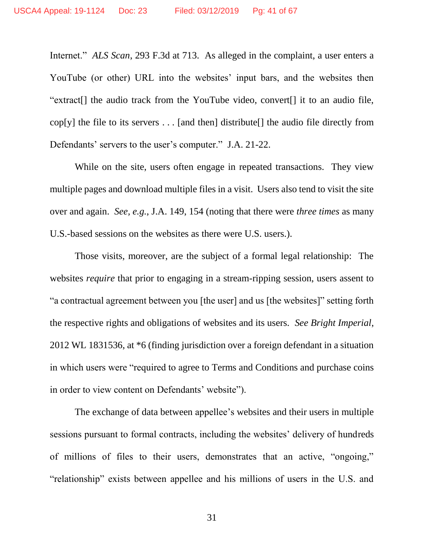Internet." *ALS Scan*, 293 F.3d at 713. As alleged in the complaint, a user enters a YouTube (or other) URL into the websites' input bars, and the websites then "extract[] the audio track from the YouTube video, convert[] it to an audio file, cop[y] the file to its servers  $\dots$  [and then] distribute[] the audio file directly from Defendants' servers to the user's computer." J.A. 21-22.

While on the site, users often engage in repeated transactions. They view multiple pages and download multiple files in a visit. Users also tend to visit the site over and again. *See, e.g.*, J.A. 149, 154 (noting that there were *three times* as many U.S.-based sessions on the websites as there were U.S. users.).

Those visits, moreover, are the subject of a formal legal relationship: The websites *require* that prior to engaging in a stream-ripping session, users assent to "a contractual agreement between you [the user] and us [the websites]" setting forth the respective rights and obligations of websites and its users. *See Bright Imperial*, 2012 WL 1831536, at \*6 (finding jurisdiction over a foreign defendant in a situation in which users were "required to agree to Terms and Conditions and purchase coins in order to view content on Defendants' website").

The exchange of data between appellee's websites and their users in multiple sessions pursuant to formal contracts, including the websites' delivery of hundreds of millions of files to their users, demonstrates that an active, "ongoing," "relationship" exists between appellee and his millions of users in the U.S. and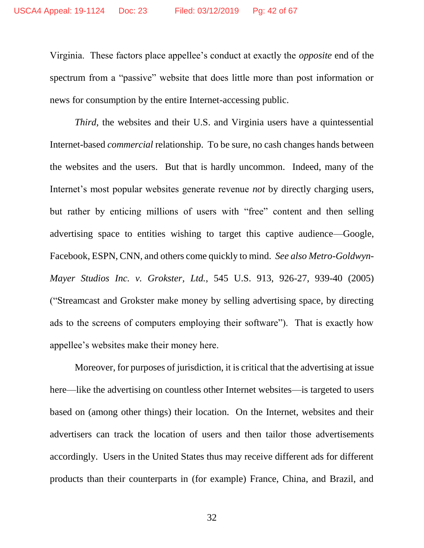Virginia. These factors place appellee's conduct at exactly the *opposite* end of the spectrum from a "passive" website that does little more than post information or news for consumption by the entire Internet-accessing public.

*Third*, the websites and their U.S. and Virginia users have a quintessential Internet-based *commercial* relationship. To be sure, no cash changes hands between the websites and the users. But that is hardly uncommon. Indeed, many of the Internet's most popular websites generate revenue *not* by directly charging users, but rather by enticing millions of users with "free" content and then selling advertising space to entities wishing to target this captive audience—Google, Facebook, ESPN, CNN, and others come quickly to mind. *See also Metro-Goldwyn-Mayer Studios Inc. v. Grokster, Ltd.*, 545 U.S. 913, 926-27, 939-40 (2005) ("Streamcast and Grokster make money by selling advertising space, by directing ads to the screens of computers employing their software"). That is exactly how appellee's websites make their money here.

Moreover, for purposes of jurisdiction, it is critical that the advertising at issue here—like the advertising on countless other Internet websites—is targeted to users based on (among other things) their location. On the Internet, websites and their advertisers can track the location of users and then tailor those advertisements accordingly. Users in the United States thus may receive different ads for different products than their counterparts in (for example) France, China, and Brazil, and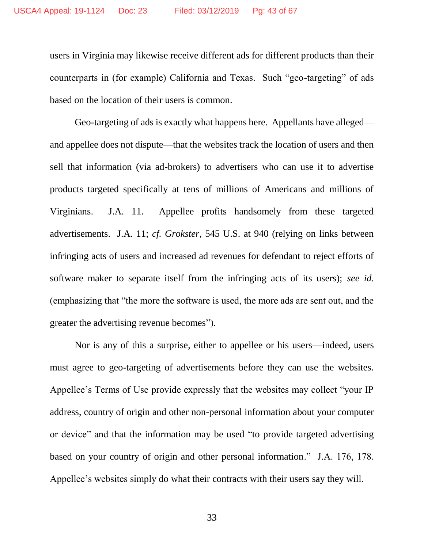users in Virginia may likewise receive different ads for different products than their counterparts in (for example) California and Texas. Such "geo-targeting" of ads based on the location of their users is common.

Geo-targeting of ads is exactly what happens here. Appellants have alleged and appellee does not dispute—that the websites track the location of users and then sell that information (via ad-brokers) to advertisers who can use it to advertise products targeted specifically at tens of millions of Americans and millions of Virginians. J.A. 11. Appellee profits handsomely from these targeted advertisements. J.A. 11; *cf. Grokster*, 545 U.S. at 940 (relying on links between infringing acts of users and increased ad revenues for defendant to reject efforts of software maker to separate itself from the infringing acts of its users); *see id.* (emphasizing that "the more the software is used, the more ads are sent out, and the greater the advertising revenue becomes").

Nor is any of this a surprise, either to appellee or his users—indeed, users must agree to geo-targeting of advertisements before they can use the websites. Appellee's Terms of Use provide expressly that the websites may collect "your IP address, country of origin and other non-personal information about your computer or device" and that the information may be used "to provide targeted advertising based on your country of origin and other personal information." J.A. 176, 178. Appellee's websites simply do what their contracts with their users say they will.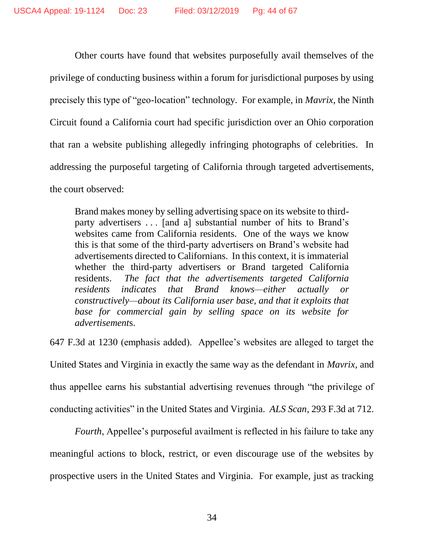Other courts have found that websites purposefully avail themselves of the privilege of conducting business within a forum for jurisdictional purposes by using precisely this type of "geo-location" technology. For example, in *Mavrix*, the Ninth Circuit found a California court had specific jurisdiction over an Ohio corporation that ran a website publishing allegedly infringing photographs of celebrities. In addressing the purposeful targeting of California through targeted advertisements, the court observed:

Brand makes money by selling advertising space on its website to thirdparty advertisers . . . [and a] substantial number of hits to Brand's websites came from California residents. One of the ways we know this is that some of the third-party advertisers on Brand's website had advertisements directed to Californians. In this context, it is immaterial whether the third-party advertisers or Brand targeted California residents. *The fact that the advertisements targeted California residents indicates that Brand knows—either actually or constructively—about its California user base, and that it exploits that base for commercial gain by selling space on its website for advertisement*s.

647 F.3d at 1230 (emphasis added). Appellee's websites are alleged to target the

United States and Virginia in exactly the same way as the defendant in *Mavrix*, and thus appellee earns his substantial advertising revenues through "the privilege of conducting activities" in the United States and Virginia. *ALS Scan*, 293 F.3d at 712.

*Fourth*, Appellee's purposeful availment is reflected in his failure to take any meaningful actions to block, restrict, or even discourage use of the websites by prospective users in the United States and Virginia. For example, just as tracking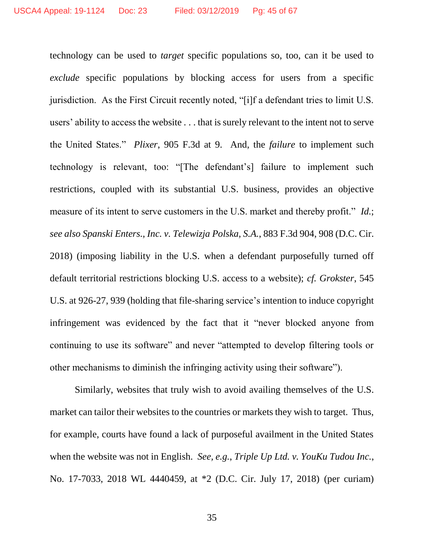technology can be used to *target* specific populations so, too, can it be used to *exclude* specific populations by blocking access for users from a specific jurisdiction. As the First Circuit recently noted, "[i]f a defendant tries to limit U.S. users' ability to access the website . . . that is surely relevant to the intent not to serve the United States." *Plixer*, 905 F.3d at 9. And, the *failure* to implement such technology is relevant, too: "[The defendant's] failure to implement such restrictions, coupled with its substantial U.S. business, provides an objective measure of its intent to serve customers in the U.S. market and thereby profit." *Id.*; *see also Spanski Enters., Inc. v. Telewizja Polska, S.A.*, 883 F.3d 904, 908 (D.C. Cir. 2018) (imposing liability in the U.S. when a defendant purposefully turned off default territorial restrictions blocking U.S. access to a website); *cf. Grokster*, 545 U.S. at 926-27, 939 (holding that file-sharing service's intention to induce copyright infringement was evidenced by the fact that it "never blocked anyone from continuing to use its software" and never "attempted to develop filtering tools or other mechanisms to diminish the infringing activity using their software").

Similarly, websites that truly wish to avoid availing themselves of the U.S. market can tailor their websites to the countries or markets they wish to target. Thus, for example, courts have found a lack of purposeful availment in the United States when the website was not in English. *See, e.g.*, *Triple Up Ltd. v. YouKu Tudou Inc.*, No. 17-7033, 2018 WL 4440459, at \*2 (D.C. Cir. July 17, 2018) (per curiam)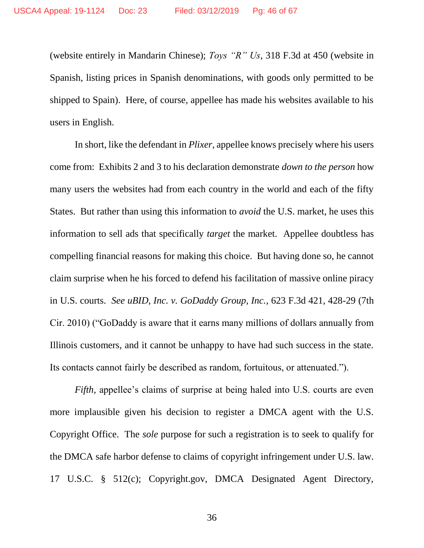(website entirely in Mandarin Chinese); *Toys "R" Us*, 318 F.3d at 450 (website in Spanish, listing prices in Spanish denominations, with goods only permitted to be shipped to Spain). Here, of course, appellee has made his websites available to his users in English.

In short, like the defendant in *Plixer*, appellee knows precisely where his users come from: Exhibits 2 and 3 to his declaration demonstrate *down to the person* how many users the websites had from each country in the world and each of the fifty States. But rather than using this information to *avoid* the U.S. market, he uses this information to sell ads that specifically *target* the market. Appellee doubtless has compelling financial reasons for making this choice. But having done so, he cannot claim surprise when he his forced to defend his facilitation of massive online piracy in U.S. courts. *See uBID, Inc. v. GoDaddy Group, Inc.*, 623 F.3d 421, 428-29 (7th Cir. 2010) ("GoDaddy is aware that it earns many millions of dollars annually from Illinois customers, and it cannot be unhappy to have had such success in the state. Its contacts cannot fairly be described as random, fortuitous, or attenuated.").

*Fifth*, appellee's claims of surprise at being haled into U.S. courts are even more implausible given his decision to register a DMCA agent with the U.S. Copyright Office. The *sole* purpose for such a registration is to seek to qualify for the DMCA safe harbor defense to claims of copyright infringement under U.S. law. 17 U.S.C. § 512(c); Copyright.gov, DMCA Designated Agent Directory,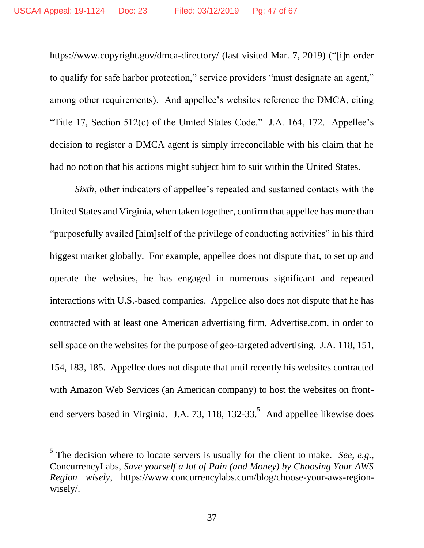<https://www.copyright.gov/dmca-directory/> (last visited Mar. 7, 2019) ("[i]n order to qualify for safe harbor protection," service providers "must designate an agent," among other requirements). And appellee's websites reference the DMCA, citing "Title 17, Section 512(c) of the United States Code." J.A. 164, 172. Appellee's decision to register a DMCA agent is simply irreconcilable with his claim that he had no notion that his actions might subject him to suit within the United States.

*Sixth*, other indicators of appellee's repeated and sustained contacts with the United States and Virginia, when taken together, confirm that appellee has more than "purposefully availed [him]self of the privilege of conducting activities" in his third biggest market globally. For example, appellee does not dispute that, to set up and operate the websites, he has engaged in numerous significant and repeated interactions with U.S.-based companies. Appellee also does not dispute that he has contracted with at least one American advertising firm, Advertise.com, in order to sell space on the websites for the purpose of geo-targeted advertising. J.A. 118, 151, 154, 183, 185. Appellee does not dispute that until recently his websites contracted with Amazon Web Services (an American company) to host the websites on frontend servers based in Virginia. J.A. 73, 118, 132-33. And appellee likewise does

 $\overline{a}$ 

<sup>&</sup>lt;sup>5</sup> The decision where to locate servers is usually for the client to make. *See, e.g.*, ConcurrencyLabs, *Save yourself a lot of Pain (and Money) by Choosing Your AWS Region wisely*, https://www.concurrencylabs.com/blog/choose-your-aws-regionwisely/.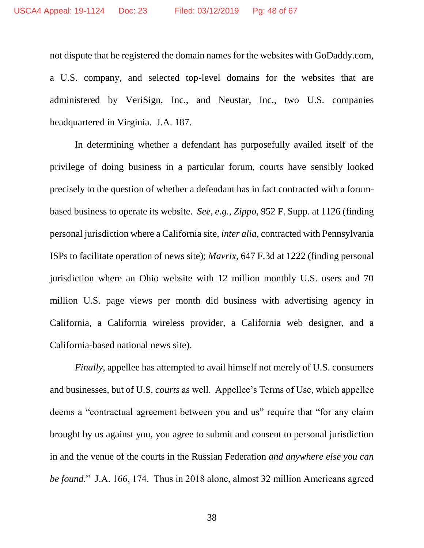not dispute that he registered the domain names for the websites with GoDaddy.com, a U.S. company, and selected top-level domains for the websites that are administered by VeriSign, Inc., and Neustar, Inc., two U.S. companies headquartered in Virginia. J.A. 187.

In determining whether a defendant has purposefully availed itself of the privilege of doing business in a particular forum, courts have sensibly looked precisely to the question of whether a defendant has in fact contracted with a forumbased business to operate its website. *See, e.g.*, *Zippo*, 952 F. Supp. at 1126 (finding personal jurisdiction where a California site, *inter alia*, contracted with Pennsylvania ISPs to facilitate operation of news site); *Mavrix*, 647 F.3d at 1222 (finding personal jurisdiction where an Ohio website with 12 million monthly U.S. users and 70 million U.S. page views per month did business with advertising agency in California, a California wireless provider, a California web designer, and a California-based national news site).

*Finally*, appellee has attempted to avail himself not merely of U.S. consumers and businesses, but of U.S. *courts* as well. Appellee's Terms of Use, which appellee deems a "contractual agreement between you and us" require that "for any claim brought by us against you, you agree to submit and consent to personal jurisdiction in and the venue of the courts in the Russian Federation *and anywhere else you can be found*." J.A. 166, 174. Thus in 2018 alone, almost 32 million Americans agreed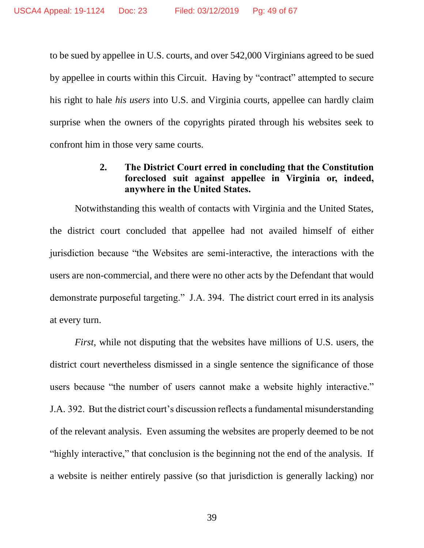to be sued by appellee in U.S. courts, and over 542,000 Virginians agreed to be sued by appellee in courts within this Circuit. Having by "contract" attempted to secure his right to hale *his users* into U.S. and Virginia courts, appellee can hardly claim surprise when the owners of the copyrights pirated through his websites seek to confront him in those very same courts.

## **2. The District Court erred in concluding that the Constitution foreclosed suit against appellee in Virginia or, indeed, anywhere in the United States.**

<span id="page-48-0"></span>Notwithstanding this wealth of contacts with Virginia and the United States, the district court concluded that appellee had not availed himself of either jurisdiction because "the Websites are semi-interactive, the interactions with the users are non-commercial, and there were no other acts by the Defendant that would demonstrate purposeful targeting." J.A. 394. The district court erred in its analysis at every turn.

*First*, while not disputing that the websites have millions of U.S. users, the district court nevertheless dismissed in a single sentence the significance of those users because "the number of users cannot make a website highly interactive." J.A. 392. But the district court's discussion reflects a fundamental misunderstanding of the relevant analysis. Even assuming the websites are properly deemed to be not "highly interactive," that conclusion is the beginning not the end of the analysis. If a website is neither entirely passive (so that jurisdiction is generally lacking) nor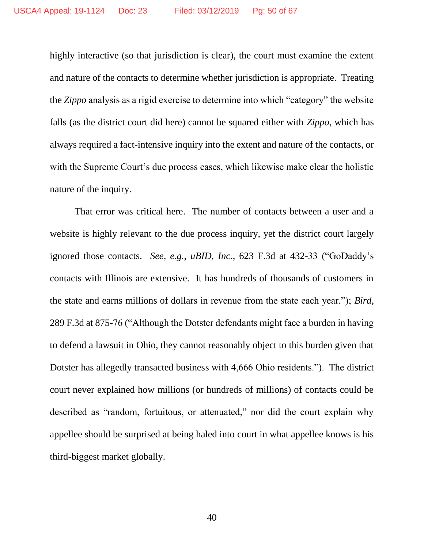highly interactive (so that jurisdiction is clear), the court must examine the extent and nature of the contacts to determine whether jurisdiction is appropriate. Treating the *Zippo* analysis as a rigid exercise to determine into which "category" the website falls (as the district court did here) cannot be squared either with *Zippo*, which has always required a fact-intensive inquiry into the extent and nature of the contacts, or with the Supreme Court's due process cases, which likewise make clear the holistic nature of the inquiry.

That error was critical here. The number of contacts between a user and a website is highly relevant to the due process inquiry, yet the district court largely ignored those contacts. *See, e.g.*, *uBID, Inc.*, 623 F.3d at 432-33 ("GoDaddy's contacts with Illinois are extensive. It has hundreds of thousands of customers in the state and earns millions of dollars in revenue from the state each year."); *Bird*, 289 F.3d at 875-76 ("Although the Dotster defendants might face a burden in having to defend a lawsuit in Ohio, they cannot reasonably object to this burden given that Dotster has allegedly transacted business with 4,666 Ohio residents."). The district court never explained how millions (or hundreds of millions) of contacts could be described as "random, fortuitous, or attenuated," nor did the court explain why appellee should be surprised at being haled into court in what appellee knows is his third-biggest market globally.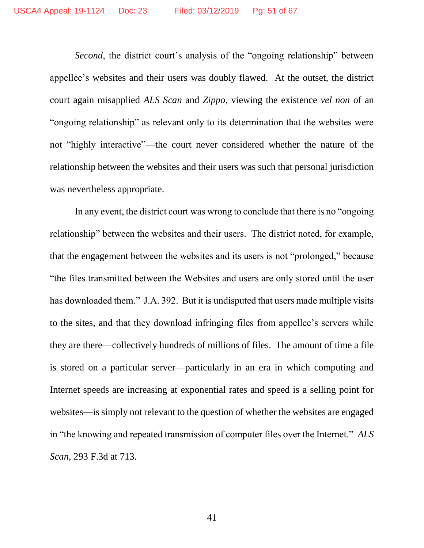*Second*, the district court's analysis of the "ongoing relationship" between appellee's websites and their users was doubly flawed. At the outset, the district court again misapplied *ALS Scan* and *Zippo*, viewing the existence *vel non* of an "ongoing relationship" as relevant only to its determination that the websites were not "highly interactive"—the court never considered whether the nature of the relationship between the websites and their users was such that personal jurisdiction was nevertheless appropriate.

In any event, the district court was wrong to conclude that there is no "ongoing relationship" between the websites and their users. The district noted, for example, that the engagement between the websites and its users is not "prolonged," because "the files transmitted between the Websites and users are only stored until the user has downloaded them." J.A. 392. But it is undisputed that users made multiple visits to the sites, and that they download infringing files from appellee's servers while they are there—collectively hundreds of millions of files. The amount of time a file is stored on a particular server—particularly in an era in which computing and Internet speeds are increasing at exponential rates and speed is a selling point for websites—is simply not relevant to the question of whether the websites are engaged in "the knowing and repeated transmission of computer files over the Internet." *ALS Scan*, 293 F.3d at 713.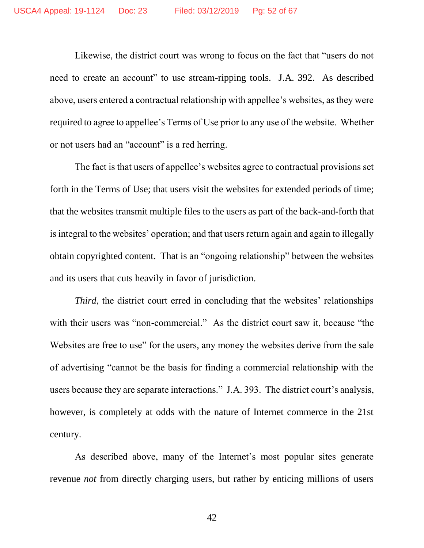Likewise, the district court was wrong to focus on the fact that "users do not need to create an account" to use stream-ripping tools. J.A. 392. As described above, users entered a contractual relationship with appellee's websites, as they were required to agree to appellee's Terms of Use prior to any use of the website. Whether or not users had an "account" is a red herring.

The fact is that users of appellee's websites agree to contractual provisions set forth in the Terms of Use; that users visit the websites for extended periods of time; that the websites transmit multiple files to the users as part of the back-and-forth that is integral to the websites' operation; and that users return again and again to illegally obtain copyrighted content. That is an "ongoing relationship" between the websites and its users that cuts heavily in favor of jurisdiction.

*Third*, the district court erred in concluding that the websites' relationships with their users was "non-commercial." As the district court saw it, because "the Websites are free to use" for the users, any money the websites derive from the sale of advertising "cannot be the basis for finding a commercial relationship with the users because they are separate interactions." J.A. 393. The district court's analysis, however, is completely at odds with the nature of Internet commerce in the 21st century.

As described above, many of the Internet's most popular sites generate revenue *not* from directly charging users, but rather by enticing millions of users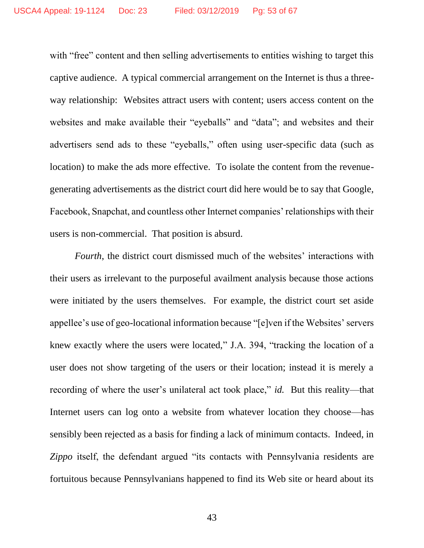with "free" content and then selling advertisements to entities wishing to target this captive audience. A typical commercial arrangement on the Internet is thus a threeway relationship: Websites attract users with content; users access content on the websites and make available their "eyeballs" and "data"; and websites and their advertisers send ads to these "eyeballs," often using user-specific data (such as location) to make the ads more effective. To isolate the content from the revenuegenerating advertisements as the district court did here would be to say that Google, Facebook, Snapchat, and countless other Internet companies' relationships with their users is non-commercial. That position is absurd.

*Fourth*, the district court dismissed much of the websites' interactions with their users as irrelevant to the purposeful availment analysis because those actions were initiated by the users themselves. For example, the district court set aside appellee's use of geo-locational information because "[e]ven if the Websites' servers knew exactly where the users were located," J.A. 394, "tracking the location of a user does not show targeting of the users or their location; instead it is merely a recording of where the user's unilateral act took place," *id.* But this reality—that Internet users can log onto a website from whatever location they choose—has sensibly been rejected as a basis for finding a lack of minimum contacts. Indeed, in *Zippo* itself, the defendant argued "its contacts with Pennsylvania residents are fortuitous because Pennsylvanians happened to find its Web site or heard about its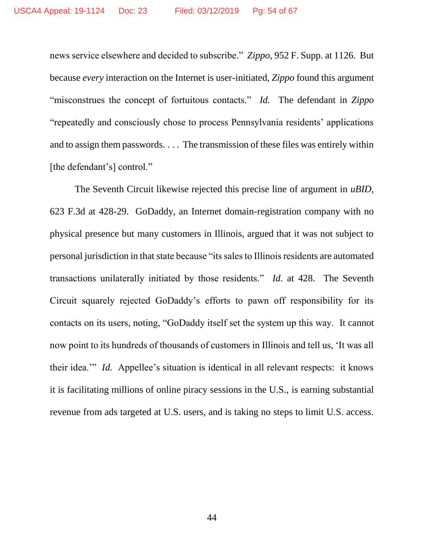news service elsewhere and decided to subscribe." *Zippo*, 952 F. Supp. at 1126. But because *every* interaction on the Internet is user-initiated, *Zippo* found this argument "misconstrues the concept of fortuitous contacts." *Id.* The defendant in *Zippo* "repeatedly and consciously chose to process Pennsylvania residents' applications and to assign them passwords. . . . The transmission of these files was entirely within [the defendant's] control."

The Seventh Circuit likewise rejected this precise line of argument in *uBID*, 623 F.3d at 428-29. GoDaddy, an Internet domain-registration company with no physical presence but many customers in Illinois, argued that it was not subject to personal jurisdiction in that state because "its sales to Illinois residents are automated transactions unilaterally initiated by those residents." *Id.* at 428. The Seventh Circuit squarely rejected GoDaddy's efforts to pawn off responsibility for its contacts on its users, noting, "GoDaddy itself set the system up this way. It cannot now point to its hundreds of thousands of customers in Illinois and tell us, 'It was all their idea.'" *Id.* Appellee's situation is identical in all relevant respects: it knows it is facilitating millions of online piracy sessions in the U.S., is earning substantial revenue from ads targeted at U.S. users, and is taking no steps to limit U.S. access.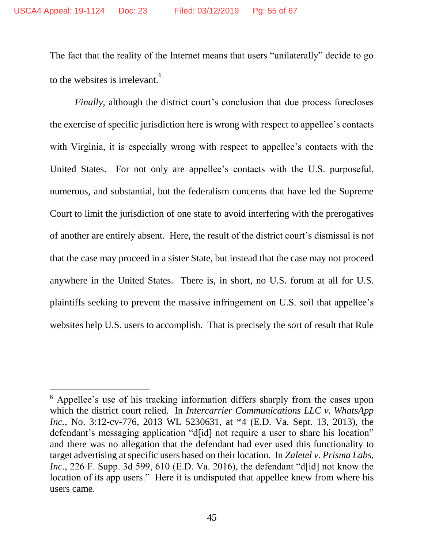The fact that the reality of the Internet means that users "unilaterally" decide to go to the websites is irrelevant.<sup>6</sup>

*Finally*, although the district court's conclusion that due process forecloses the exercise of specific jurisdiction here is wrong with respect to appellee's contacts with Virginia, it is especially wrong with respect to appellee's contacts with the United States. For not only are appellee's contacts with the U.S. purposeful, numerous, and substantial, but the federalism concerns that have led the Supreme Court to limit the jurisdiction of one state to avoid interfering with the prerogatives of another are entirely absent. Here, the result of the district court's dismissal is not that the case may proceed in a sister State, but instead that the case may not proceed anywhere in the United States. There is, in short, no U.S. forum at all for U.S. plaintiffs seeking to prevent the massive infringement on U.S. soil that appellee's websites help U.S. users to accomplish. That is precisely the sort of result that Rule

 $\overline{a}$ 

<sup>6</sup> Appellee's use of his tracking information differs sharply from the cases upon which the district court relied. In *Intercarrier Communications LLC v. WhatsApp Inc.*, No. 3:12-cv-776, 2013 WL 5230631, at \*4 (E.D. Va. Sept. 13, 2013), the defendant's messaging application "d[id] not require a user to share his location" and there was no allegation that the defendant had ever used this functionality to target advertising at specific users based on their location. In *Zaletel v. Prisma Labs, Inc.*, 226 F. Supp. 3d 599, 610 (E.D. Va. 2016), the defendant "d[id] not know the location of its app users." Here it is undisputed that appellee knew from where his users came.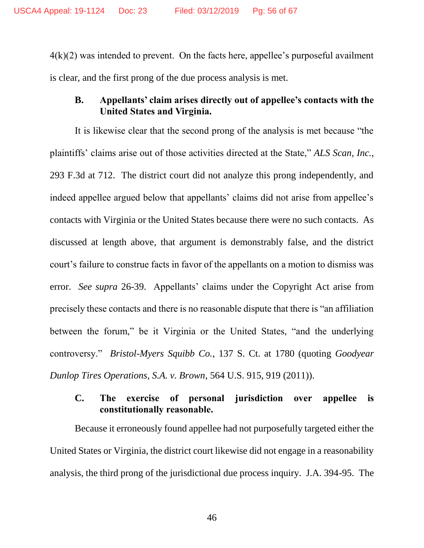$4(k)(2)$  was intended to prevent. On the facts here, appellee's purposeful availment is clear, and the first prong of the due process analysis is met.

# <span id="page-55-0"></span>**B. Appellants' claim arises directly out of appellee's contacts with the United States and Virginia.**

It is likewise clear that the second prong of the analysis is met because "the plaintiffs' claims arise out of those activities directed at the State," *ALS Scan, Inc.*, 293 F.3d at 712. The district court did not analyze this prong independently, and indeed appellee argued below that appellants' claims did not arise from appellee's contacts with Virginia or the United States because there were no such contacts. As discussed at length above, that argument is demonstrably false, and the district court's failure to construe facts in favor of the appellants on a motion to dismiss was error. *See supra* 26-39. Appellants' claims under the Copyright Act arise from precisely these contacts and there is no reasonable dispute that there is "an affiliation between the forum," be it Virginia or the United States, "and the underlying controversy." *Bristol-Myers Squibb Co.*, 137 S. Ct. at 1780 (quoting *Goodyear Dunlop Tires Operations, S.A. v. Brown*, 564 U.S. 915, 919 (2011)).

## <span id="page-55-1"></span>**C. The exercise of personal jurisdiction over appellee is constitutionally reasonable.**

Because it erroneously found appellee had not purposefully targeted either the United States or Virginia, the district court likewise did not engage in a reasonability analysis, the third prong of the jurisdictional due process inquiry. J.A. 394-95. The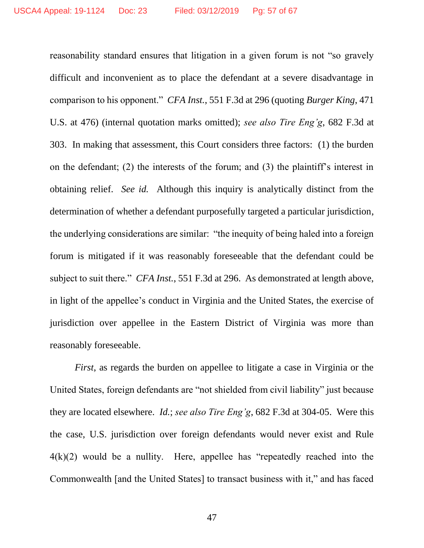reasonability standard ensures that litigation in a given forum is not "so gravely difficult and inconvenient as to place the defendant at a severe disadvantage in comparison to his opponent." *CFA Inst.*, 551 F.3d at 296 (quoting *Burger King*, 471 U.S. at 476) (internal quotation marks omitted); *see also Tire Eng'g*, 682 F.3d at 303. In making that assessment, this Court considers three factors: (1) the burden on the defendant; (2) the interests of the forum; and (3) the plaintiff's interest in obtaining relief. *See id.* Although this inquiry is analytically distinct from the determination of whether a defendant purposefully targeted a particular jurisdiction, the underlying considerations are similar: "the inequity of being haled into a foreign forum is mitigated if it was reasonably foreseeable that the defendant could be subject to suit there." *CFA Inst.*, 551 F.3d at 296. As demonstrated at length above, in light of the appellee's conduct in Virginia and the United States, the exercise of jurisdiction over appellee in the Eastern District of Virginia was more than reasonably foreseeable.

*First*, as regards the burden on appellee to litigate a case in Virginia or the United States, foreign defendants are "not shielded from civil liability" just because they are located elsewhere. *Id.*; *see also Tire Eng'g*, 682 F.3d at 304-05. Were this the case, U.S. jurisdiction over foreign defendants would never exist and Rule 4(k)(2) would be a nullity. Here, appellee has "repeatedly reached into the Commonwealth [and the United States] to transact business with it," and has faced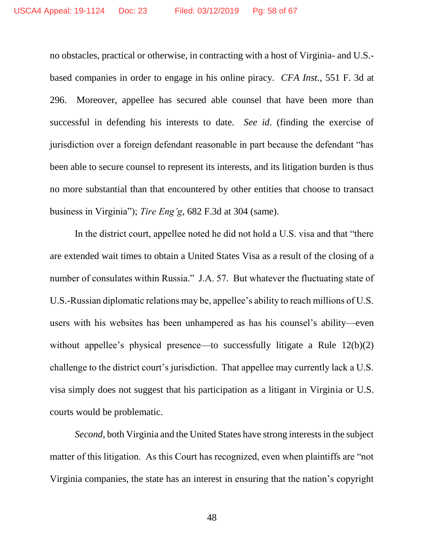no obstacles, practical or otherwise, in contracting with a host of Virginia- and U.S. based companies in order to engage in his online piracy. *CFA Inst.*, 551 F. 3d at 296. Moreover, appellee has secured able counsel that have been more than successful in defending his interests to date. *See id*. (finding the exercise of jurisdiction over a foreign defendant reasonable in part because the defendant "has been able to secure counsel to represent its interests, and its litigation burden is thus no more substantial than that encountered by other entities that choose to transact business in Virginia"); *Tire Eng'g*, 682 F.3d at 304 (same).

In the district court, appellee noted he did not hold a U.S. visa and that "there are extended wait times to obtain a United States Visa as a result of the closing of a number of consulates within Russia." J.A. 57. But whatever the fluctuating state of U.S.-Russian diplomatic relations may be, appellee's ability to reach millions of U.S. users with his websites has been unhampered as has his counsel's ability—even without appellee's physical presence—to successfully litigate a Rule 12(b)(2) challenge to the district court's jurisdiction. That appellee may currently lack a U.S. visa simply does not suggest that his participation as a litigant in Virginia or U.S. courts would be problematic.

*Second*, both Virginia and the United States have strong interests in the subject matter of this litigation. As this Court has recognized, even when plaintiffs are "not Virginia companies, the state has an interest in ensuring that the nation's copyright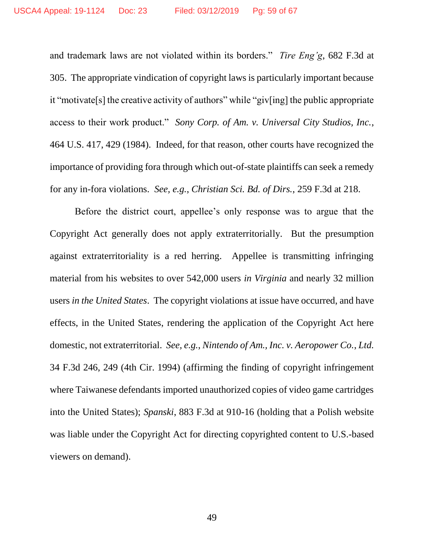and trademark laws are not violated within its borders." *Tire Eng'g*, 682 F.3d at 305. The appropriate vindication of copyright laws is particularly important because it "motivate[s] the creative activity of authors" while "giv[ing] the public appropriate access to their work product." *Sony Corp. of Am. v. Universal City Studios, Inc.*, 464 U.S. 417, 429 (1984). Indeed, for that reason, other courts have recognized the importance of providing fora through which out-of-state plaintiffs can seek a remedy for any in-fora violations. *See, e.g.*, *Christian Sci. Bd. of Dirs.*, 259 F.3d at 218.

Before the district court, appellee's only response was to argue that the Copyright Act generally does not apply extraterritorially. But the presumption against extraterritoriality is a red herring. Appellee is transmitting infringing material from his websites to over 542,000 users *in Virginia* and nearly 32 million users *in the United States*. The copyright violations at issue have occurred, and have effects, in the United States, rendering the application of the Copyright Act here domestic, not extraterritorial. *See, e.g.*, *Nintendo of Am., Inc. v. Aeropower Co.*, *Ltd.* 34 F.3d 246, 249 (4th Cir. 1994) (affirming the finding of copyright infringement where Taiwanese defendants imported unauthorized copies of video game cartridges into the United States); *Spanski*, 883 F.3d at 910-16 (holding that a Polish website was liable under the Copyright Act for directing copyrighted content to U.S.-based viewers on demand).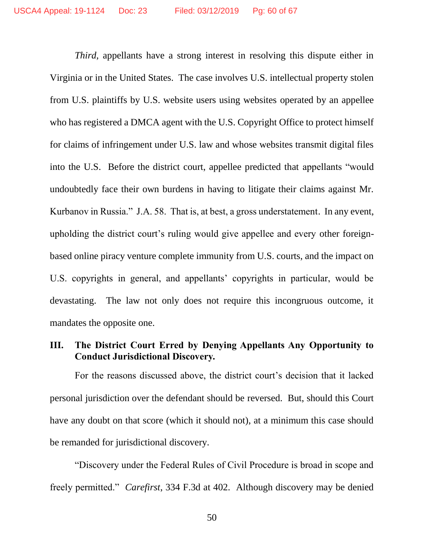*Third*, appellants have a strong interest in resolving this dispute either in Virginia or in the United States. The case involves U.S. intellectual property stolen from U.S. plaintiffs by U.S. website users using websites operated by an appellee who has registered a DMCA agent with the U.S. Copyright Office to protect himself for claims of infringement under U.S. law and whose websites transmit digital files into the U.S. Before the district court, appellee predicted that appellants "would undoubtedly face their own burdens in having to litigate their claims against Mr. Kurbanov in Russia." J.A. 58. That is, at best, a gross understatement. In any event, upholding the district court's ruling would give appellee and every other foreignbased online piracy venture complete immunity from U.S. courts, and the impact on U.S. copyrights in general, and appellants' copyrights in particular, would be devastating. The law not only does not require this incongruous outcome, it mandates the opposite one.

# <span id="page-59-0"></span>**III. The District Court Erred by Denying Appellants Any Opportunity to Conduct Jurisdictional Discovery.**

For the reasons discussed above, the district court's decision that it lacked personal jurisdiction over the defendant should be reversed. But, should this Court have any doubt on that score (which it should not), at a minimum this case should be remanded for jurisdictional discovery.

"Discovery under the Federal Rules of Civil Procedure is broad in scope and freely permitted." *Carefirst*, 334 F.3d at 402. Although discovery may be denied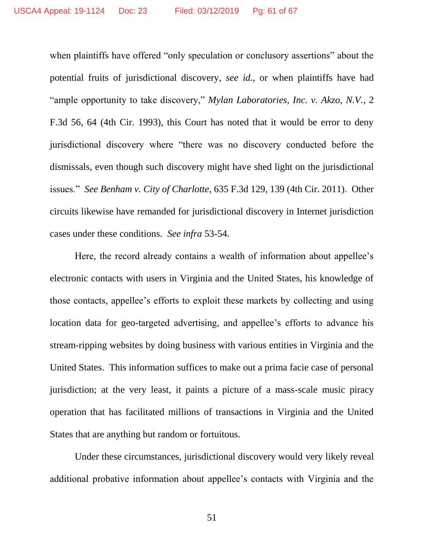when plaintiffs have offered "only speculation or conclusory assertions" about the potential fruits of jurisdictional discovery, *see id.*, or when plaintiffs have had "ample opportunity to take discovery," *Mylan Laboratories, Inc. v. Akzo, N.V.*, 2 F.3d 56, 64 (4th Cir. 1993), this Court has noted that it would be error to deny jurisdictional discovery where "there was no discovery conducted before the dismissals, even though such discovery might have shed light on the jurisdictional issues." *See Benham v. City of Charlotte*, 635 F.3d 129, 139 (4th Cir. 2011). Other circuits likewise have remanded for jurisdictional discovery in Internet jurisdiction cases under these conditions. *See infra* 53-54.

Here, the record already contains a wealth of information about appellee's electronic contacts with users in Virginia and the United States, his knowledge of those contacts, appellee's efforts to exploit these markets by collecting and using location data for geo-targeted advertising, and appellee's efforts to advance his stream-ripping websites by doing business with various entities in Virginia and the United States. This information suffices to make out a prima facie case of personal jurisdiction; at the very least, it paints a picture of a mass-scale music piracy operation that has facilitated millions of transactions in Virginia and the United States that are anything but random or fortuitous.

Under these circumstances, jurisdictional discovery would very likely reveal additional probative information about appellee's contacts with Virginia and the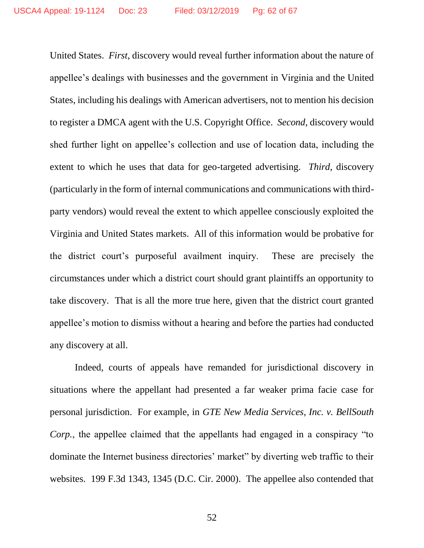United States. *First*, discovery would reveal further information about the nature of appellee's dealings with businesses and the government in Virginia and the United States, including his dealings with American advertisers, not to mention his decision to register a DMCA agent with the U.S. Copyright Office. *Second*, discovery would shed further light on appellee's collection and use of location data, including the extent to which he uses that data for geo-targeted advertising. *Third*, discovery (particularly in the form of internal communications and communications with thirdparty vendors) would reveal the extent to which appellee consciously exploited the Virginia and United States markets. All of this information would be probative for the district court's purposeful availment inquiry. These are precisely the circumstances under which a district court should grant plaintiffs an opportunity to take discovery. That is all the more true here, given that the district court granted appellee's motion to dismiss without a hearing and before the parties had conducted any discovery at all.

Indeed, courts of appeals have remanded for jurisdictional discovery in situations where the appellant had presented a far weaker prima facie case for personal jurisdiction. For example, in *GTE New Media Services, Inc. v. BellSouth Corp.*, the appellee claimed that the appellants had engaged in a conspiracy "to dominate the Internet business directories' market" by diverting web traffic to their websites. 199 F.3d 1343, 1345 (D.C. Cir. 2000). The appellee also contended that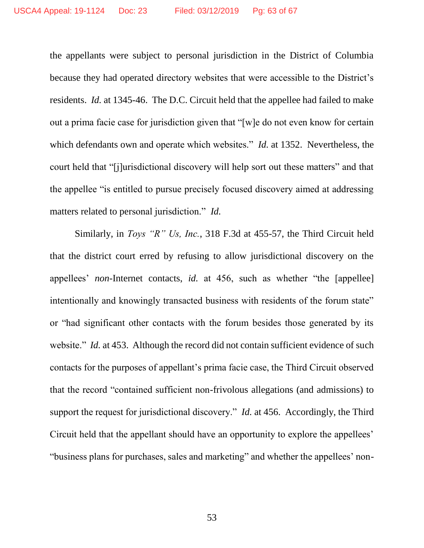the appellants were subject to personal jurisdiction in the District of Columbia because they had operated directory websites that were accessible to the District's residents. *Id.* at 1345-46. The D.C. Circuit held that the appellee had failed to make out a prima facie case for jurisdiction given that "[w]e do not even know for certain which defendants own and operate which websites." *Id.* at 1352. Nevertheless, the court held that "[j]urisdictional discovery will help sort out these matters" and that the appellee "is entitled to pursue precisely focused discovery aimed at addressing matters related to personal jurisdiction." *Id.*

Similarly, in *Toys "R" Us, Inc.*, 318 F.3d at 455-57, the Third Circuit held that the district court erred by refusing to allow jurisdictional discovery on the appellees' *non-*Internet contacts, *id.* at 456, such as whether "the [appellee] intentionally and knowingly transacted business with residents of the forum state" or "had significant other contacts with the forum besides those generated by its website." *Id.* at 453. Although the record did not contain sufficient evidence of such contacts for the purposes of appellant's prima facie case, the Third Circuit observed that the record "contained sufficient non-frivolous allegations (and admissions) to support the request for jurisdictional discovery." *Id.* at 456. Accordingly, the Third Circuit held that the appellant should have an opportunity to explore the appellees' "business plans for purchases, sales and marketing" and whether the appellees' non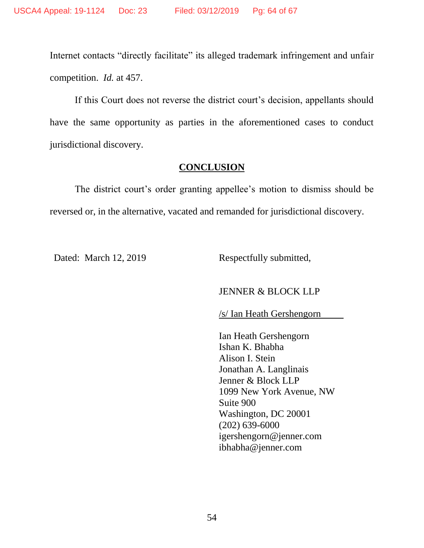Internet contacts "directly facilitate" its alleged trademark infringement and unfair competition. *Id.* at 457.

If this Court does not reverse the district court's decision, appellants should have the same opportunity as parties in the aforementioned cases to conduct jurisdictional discovery.

## **CONCLUSION**

The district court's order granting appellee's motion to dismiss should be reversed or, in the alternative, vacated and remanded for jurisdictional discovery.

Dated: March 12, 2019 Respectfully submitted,

### JENNER & BLOCK LLP

/s/ Ian Heath Gershengorn

Ian Heath Gershengorn Ishan K. Bhabha Alison I. Stein Jonathan A. Langlinais Jenner & Block LLP 1099 New York Avenue, NW Suite 900 Washington, DC 20001 (202) 639-6000 igershengorn@jenner.com ibhabha@jenner.com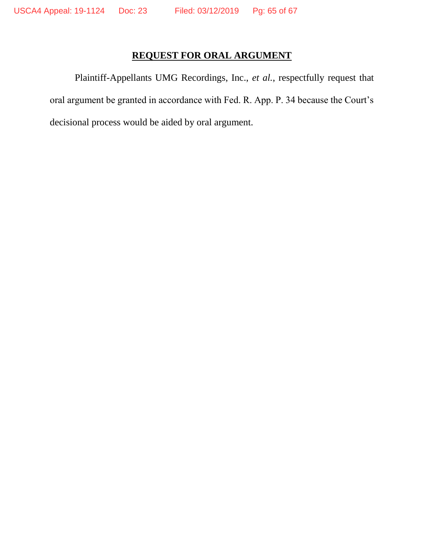# **REQUEST FOR ORAL ARGUMENT**

Plaintiff-Appellants UMG Recordings, Inc., *et al.*, respectfully request that oral argument be granted in accordance with Fed. R. App. P. 34 because the Court's decisional process would be aided by oral argument.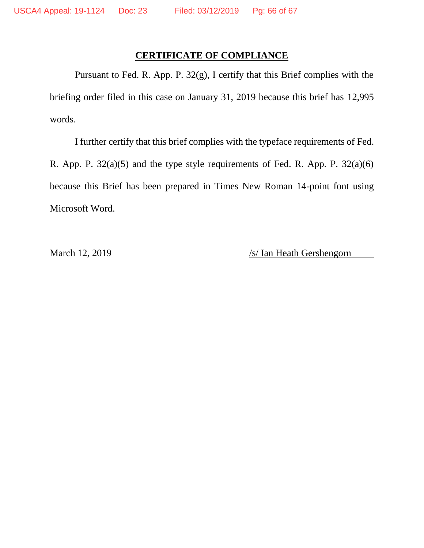## **CERTIFICATE OF COMPLIANCE**

Pursuant to Fed. R. App. P. 32(g), I certify that this Brief complies with the briefing order filed in this case on January 31, 2019 because this brief has 12,995 words.

I further certify that this brief complies with the typeface requirements of Fed. R. App. P.  $32(a)(5)$  and the type style requirements of Fed. R. App. P.  $32(a)(6)$ because this Brief has been prepared in Times New Roman 14-point font using Microsoft Word.

March 12, 2019 /s/ Ian Heath Gershengorn